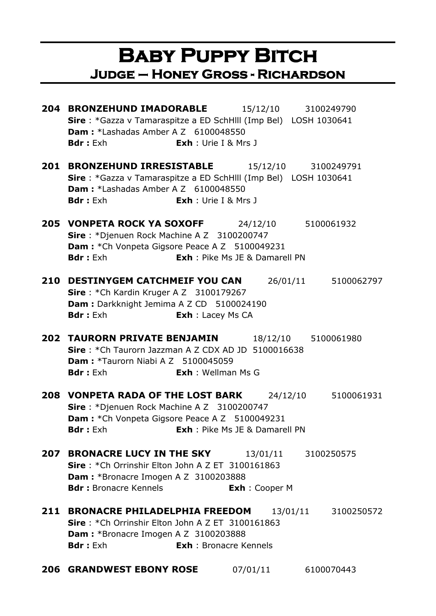#### **Baby Puppy Bitch Judge – Honey Gross - Richardson**

**204 BRONZEHUND IMADORABLE** 15/12/10 3100249790 **Sire** : \*Gazza v Tamaraspitze a ED SchHlll (Imp Bel) LOSH 1030641 **Dam :** \*Lashadas Amber A Z 6100048550 **Bdr :** Exh **Exh** : Urie I & Mrs J **201 BRONZEHUND IRRESISTABLE** 15/12/10 3100249791 **Sire** : \*Gazza v Tamaraspitze a ED SchHlll (Imp Bel) LOSH 1030641 **Dam:** \*Lashadas Amber A Z 6100048550 **Bdr :** Exh **Exh** : Urie I & Mrs J **205 VONPETA ROCK YA SOXOFF** 24/12/10 5100061932 **Sire** : \*Djenuen Rock Machine A Z 3100200747 **Dam : \***Ch Vonpeta Gigsore Peace A Z 5100049231 **Bdr :** Exh **Exh** : Pike Ms JE & Damarell PN **210 DESTINYGEM CATCHMEIF YOU CAN** 26/01/11 5100062797 **Sire** : \*Ch Kardin Kruger A Z 3100179267 **Dam : Darkknight Jemima A Z CD 5100024190 Bdr :** Exh **Exh** : Lacey Ms CA **202 TAURORN PRIVATE BENJAMIN** 18/12/10 5100061980 **Sire** : \*Ch Taurorn Jazzman A Z CDX AD JD 5100016638 **Dam : \*Taurorn Niabi A Z 5100045059 Bdr :** Exh **Exh** : Wellman Ms G **208 VONPETA RADA OF THE LOST BARK** 24/12/10 5100061931 **Sire** : \*Djenuen Rock Machine A Z 3100200747 **Dam : \*Ch Vonpeta Gigsore Peace A Z 5100049231 Bdr :** Exh **Exh** : Pike Ms JE & Damarell PN **207 BRONACRE LUCY IN THE SKY** 13/01/11 3100250575 **Sire** : \*Ch Orrinshir Elton John A Z ET 3100161863 **Dam :** \*Bronacre Imogen A Z 3100203888 **Bdr :** Bronacre Kennels<br> **Exh** : Cooper M **211 BRONACRE PHILADELPHIA FREEDOM** 13/01/11 3100250572 **Sire** : \*Ch Orrinshir Elton John A Z ET 3100161863 **Dam :** \*Bronacre Imogen A Z 3100203888 **Bdr :** Exh **Exh** : Bronacre Kennels **206 GRANDWEST EBONY ROSE** 07/01/11 6100070443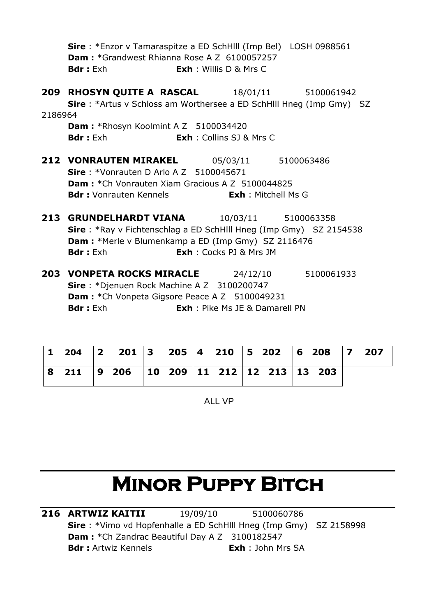|         | <b>Sire</b> : *Enzor v Tamaraspitze a ED SchHIII (Imp Bel) LOSH 0988561     |                                |                     |
|---------|-----------------------------------------------------------------------------|--------------------------------|---------------------|
|         | <b>Dam: *</b> Grandwest Rhianna Rose A Z 6100057257                         |                                |                     |
|         | <b>Bdr:</b> Exh<br><b>Exh</b> : Willis D & Mrs C                            |                                |                     |
|         | <b>209 RHOSYN QUITE A RASCAL</b> 18/01/11 5100061942                        |                                |                     |
|         | <b>Sire</b> : *Artus v Schloss am Worthersee a ED SchHill Hneg (Imp Gmy) SZ |                                |                     |
| 2186964 |                                                                             |                                |                     |
|         | <b>Dam:</b> *Rhosyn Koolmint A Z 5100034420                                 |                                |                     |
|         | <b>Bdr:</b> Exh <b>Exh</b> : Collins SJ & Mrs C                             |                                |                     |
|         | <b>212 VONRAUTEN MIRAKEL</b> 05/03/11 5100063486                            |                                |                     |
|         | <b>Sire</b> : *Vonrauten D Arlo A Z $5100045671$                            |                                |                     |
|         | <b>Dam:</b> *Ch Vonrauten Xiam Gracious A Z 5100044825                      |                                |                     |
|         | <b>Bdr:</b> Vonrauten Kennels <b>Exh:</b> Mitchell Ms G                     |                                |                     |
|         | 213 GRUNDELHARDT VIANA 10/03/11 5100063358                                  |                                |                     |
|         | <b>Sire</b> : *Ray v Fichtenschlag a ED SchHill Hneg (Imp Gmy) SZ 2154538   |                                |                     |
|         | <b>Dam:</b> *Merle v Blumenkamp a ED (Imp Gmy) SZ 2116476                   |                                |                     |
|         | <b>Bdr</b> : Exh                                                            | <b>Exh</b> : Cocks PJ & Mrs JM |                     |
|         | <b>203 VONPETA ROCKS MIRACLE</b>                                            |                                | 24/12/10 5100061933 |
|         | Sire: *Djenuen Rock Machine A Z 3100200747                                  |                                |                     |

Dam : \* Ch Vonpeta Gigsore Peace A Z 5100049231 **Bdr :** Exh **Exh** : Pike Ms JE & Damarell PN

|  | 8 211   9 206   10 209   11 212   12 213   13 203 |  |  |  |  |  |
|--|---------------------------------------------------|--|--|--|--|--|

ALL VP

# **MINOR PUPPY BITCH**

**216 ARTWIZ KAITII** 19/09/10 5100060786 **Sire** : \*Vimo vd Hopfenhalle a ED SchHlll Hneg (Imp Gmy) SZ 2158998 **Dam :** \*Ch Zandrac Beautiful Day A Z 3100182547 **Bdr :** Artwiz Kennels<br> **Exh** : John Mrs SA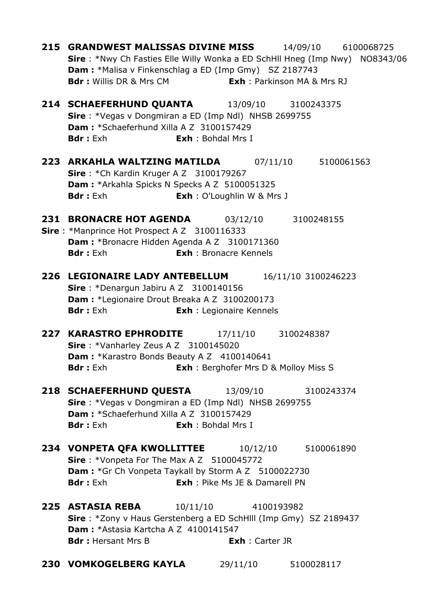| 215 GRANDWEST MALISSAS DIVINE MISS 14/09/10 6100068725                              |                                       |                     |  |
|-------------------------------------------------------------------------------------|---------------------------------------|---------------------|--|
| <b>Sire</b> : *Nwy Ch Fasties Elle Willy Wonka a ED SchHll Hneg (Imp Nwy) NO8343/06 |                                       |                     |  |
| <b>Dam:</b> *Malisa v Finkenschlag a ED (Imp Gmy) SZ 2187743                        |                                       |                     |  |
| <b>Bdr:</b> Willis DR & Mrs CM <b>Exh:</b> Parkinson MA & Mrs RJ                    |                                       |                     |  |
|                                                                                     |                                       |                     |  |
| <b>214 SCHAEFERHUND QUANTA</b> 13/09/10 3100243375                                  |                                       |                     |  |
| Sire: *Vegas v Dongmiran a ED (Imp Ndl) NHSB 2699755                                |                                       |                     |  |
| Dam: *Schaeferhund Xilla A Z 3100157429                                             |                                       |                     |  |
| <b>Bdr</b> : Exh                                                                    | <b>Exh: Bohdal Mrs I</b>              |                     |  |
|                                                                                     |                                       |                     |  |
| 223 ARKAHLA WALTZING MATILDA  07/11/10  5100061563                                  |                                       |                     |  |
| Sire: *Ch Kardin Kruger A Z 3100179267                                              |                                       |                     |  |
| Dam: *Arkahla Spicks N Specks A Z 5100051325                                        |                                       |                     |  |
| <b>Bdr</b> : Exh                                                                    | <b>Exh</b> : O'Loughlin W & Mrs J     |                     |  |
| <b>231 BRONACRE HOT AGENDA</b>                                                      |                                       |                     |  |
| Sire: *Manprince Hot Prospect A Z 3100116333                                        |                                       | 03/12/10 3100248155 |  |
| Dam: *Bronacre Hidden Agenda A Z 3100171360                                         |                                       |                     |  |
| <b>Bdr</b> : Exh                                                                    | <b>Exh</b> : Bronacre Kennels         |                     |  |
|                                                                                     |                                       |                     |  |
| 226 LEGIONAIRE LADY ANTEBELLUM                                                      |                                       | 16/11/10 3100246223 |  |
| Sire: *Denargun Jabiru A Z 3100140156                                               |                                       |                     |  |
| Dam : *Legionaire Drout Breaka A Z 3100200173                                       |                                       |                     |  |
| <b>Bdr</b> : Exh                                                                    | <b>Exh</b> : Legionaire Kennels       |                     |  |
|                                                                                     |                                       |                     |  |
| <b>227 KARASTRO EPHRODITE</b>                                                       |                                       | 17/11/10 3100248387 |  |
| Sire: *Vanharley Zeus A Z 3100145020                                                |                                       |                     |  |
| Dam: *Karastro Bonds Beauty A Z 4100140641                                          |                                       |                     |  |
| <b>Bdr:</b> Exh <b>Exh</b> : Berghofer Mrs D & Molloy Miss S                        |                                       |                     |  |
|                                                                                     |                                       |                     |  |
| <b>218 SCHAEFERHUND QUESTA</b> 13/09/10 3100243374                                  |                                       |                     |  |
| Sire: *Vegas v Dongmiran a ED (Imp Ndl) NHSB 2699755                                |                                       |                     |  |
| Dam: *Schaeferhund Xilla A Z 3100157429                                             |                                       |                     |  |
| <b>Bdr</b> : Exh                                                                    | <b>Exh: Bohdal Mrs I</b>              |                     |  |
|                                                                                     |                                       |                     |  |
| <b>234 VONPETA QFA KWOLLITTEE</b> 10/12/10 5100061890                               |                                       |                     |  |
| Sire: *Vonpeta For The Max A Z 5100045772                                           |                                       |                     |  |
| <b>Dam:</b> *Gr Ch Vonpeta Taykall by Storm A Z 5100022730                          |                                       |                     |  |
| <b>Bdr</b> : Exh                                                                    | <b>Exh</b> : Pike Ms JE & Damarell PN |                     |  |
|                                                                                     |                                       |                     |  |
| <b>225 ASTASIA REBA</b> 10/11/10 4100193982                                         |                                       |                     |  |
| Sire: *Zony v Haus Gerstenberg a ED SchHlll (Imp Gmy) SZ 2189437                    |                                       |                     |  |
| Dam: *Astasia Kartcha A Z 4100141547                                                |                                       |                     |  |
| <b>Bdr:</b> Hersant Mrs B                                                           | <b>Exh</b> : Carter JR                |                     |  |
|                                                                                     |                                       |                     |  |
| 230 VOMKOGELBERG KAYLA 29/11/10 5100028117                                          |                                       |                     |  |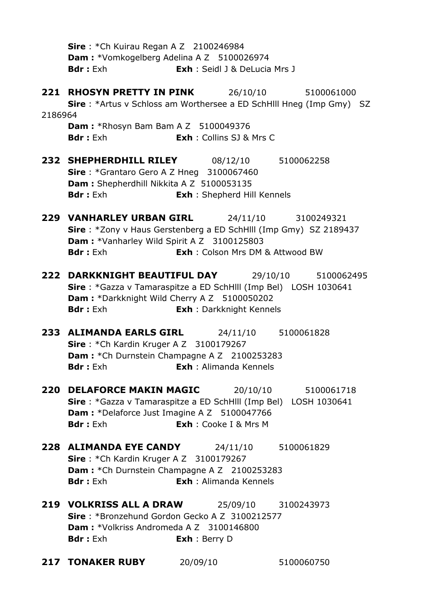**Sire** : \*Ch Kuirau Regan A Z 2100246984 **Dam : \***Vomkogelberg Adelina A Z 5100026974 **Bdr :** Exh **Exh** : Seidl J & DeLucia Mrs J **221 RHOSYN PRETTY IN PINK** 26/10/10 5100061000 **Sire** : \*Artus v Schloss am Worthersee a ED SchHlll Hneg (Imp Gmy) SZ 2186964 **Dam :** \*Rhosyn Bam Bam A Z 5100049376 **Bdr :** Exh **Exh** : Collins SJ & Mrs C **232 SHEPHERDHILL RILEY** 08/12/10 5100062258 **Sire** : \*Grantaro Gero A Z Hneg 3100067460 **Dam :** Shepherdhill Nikkita A Z 5100053135 **Bdr :** Exh **Exh** : Shepherd Hill Kennels **229 VANHARLEY URBAN GIRL** 24/11/10 3100249321 **Sire** : \*Zony v Haus Gerstenberg a ED SchHlll (Imp Gmy) SZ 2189437 **Dam :** \*Vanharley Wild Spirit A Z 3100125803 **Bdr :** Exh **Exh** : Colson Mrs DM & Attwood BW **222 DARKKNIGHT BEAUTIFUL DAY** 29/10/10 5100062495 **Sire** : \*Gazza v Tamaraspitze a ED SchHlll (Imp Bel) LOSH 1030641 **Dam :** \*Darkknight Wild Cherry A Z 5100050202 **Bdr :** Exh **Exh** : Darkknight Kennels **233 ALIMANDA EARLS GIRL** 24/11/10 5100061828 **Sire** : \*Ch Kardin Kruger A Z 3100179267 **Dam : \***Ch Durnstein Champagne A Z 2100253283 **Bdr :** Exh **Exh** : Alimanda Kennels **220 DELAFORCE MAKIN MAGIC** 20/10/10 5100061718 **Sire** : \*Gazza v Tamaraspitze a ED SchHlll (Imp Bel) LOSH 1030641 **Dam : \*Delaforce Just Imagine A Z 5100047766 Bdr :** Exh **Exh** : Cooke I & Mrs M **228 ALIMANDA EYE CANDY** 24/11/10 5100061829 **Sire** : \*Ch Kardin Kruger A Z 3100179267 **Dam :** \*Ch Durnstein Champagne A Z 2100253283 **Bdr :** Exh **Exh** : Alimanda Kennels **219 VOLKRISS ALL A DRAW** 25/09/10 3100243973 **Sire** : \*Bronzehund Gordon Gecko A Z 3100212577 **Dam :** \*Volkriss Andromeda A Z 3100146800 **Bdr :** Exh **Exh** : Berry D **217 TONAKER RUBY** 20/09/10 5100060750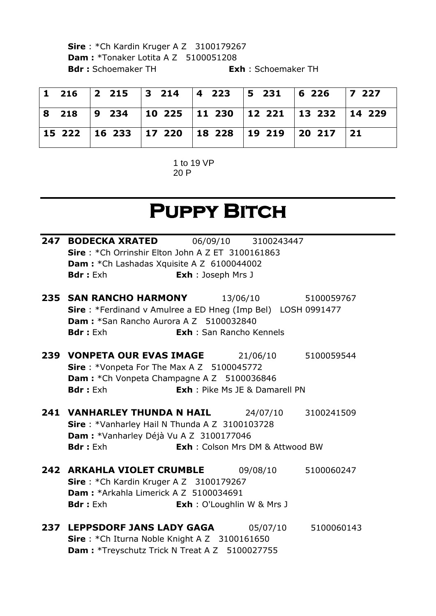**Sire** : \*Ch Kardin Kruger A Z 3100179267 **Dam : \*Tonaker Lotita A Z 5100051208 Bdr :** Schoemaker TH **Exh** : Schoemaker TH

|  |  | 1 216  2 215  3 214  4 223  5 231  6 226  7 227          |  |  |
|--|--|----------------------------------------------------------|--|--|
|  |  | 8 218  9 234  10 225  11 230  12 221  13 232  14 229     |  |  |
|  |  | 15 222   16 233   17 220   18 228   19 219   20 217   21 |  |  |

1 to 19 VP 20 P

# **Puppy Bitch**

| <b>Bdr</b> : Exh |                                                                               |                                                                                                                                                                                                                                                                                                                                                                                                                                                                                                                                                                                                                                                                                                                                                                                                                                                                                                                                                                                            |
|------------------|-------------------------------------------------------------------------------|--------------------------------------------------------------------------------------------------------------------------------------------------------------------------------------------------------------------------------------------------------------------------------------------------------------------------------------------------------------------------------------------------------------------------------------------------------------------------------------------------------------------------------------------------------------------------------------------------------------------------------------------------------------------------------------------------------------------------------------------------------------------------------------------------------------------------------------------------------------------------------------------------------------------------------------------------------------------------------------------|
|                  |                                                                               |                                                                                                                                                                                                                                                                                                                                                                                                                                                                                                                                                                                                                                                                                                                                                                                                                                                                                                                                                                                            |
|                  |                                                                               |                                                                                                                                                                                                                                                                                                                                                                                                                                                                                                                                                                                                                                                                                                                                                                                                                                                                                                                                                                                            |
| <b>Bdr</b> : Exh |                                                                               |                                                                                                                                                                                                                                                                                                                                                                                                                                                                                                                                                                                                                                                                                                                                                                                                                                                                                                                                                                                            |
|                  |                                                                               | 5100059544                                                                                                                                                                                                                                                                                                                                                                                                                                                                                                                                                                                                                                                                                                                                                                                                                                                                                                                                                                                 |
|                  |                                                                               |                                                                                                                                                                                                                                                                                                                                                                                                                                                                                                                                                                                                                                                                                                                                                                                                                                                                                                                                                                                            |
| <b>Bdr</b> : Exh |                                                                               |                                                                                                                                                                                                                                                                                                                                                                                                                                                                                                                                                                                                                                                                                                                                                                                                                                                                                                                                                                                            |
|                  |                                                                               |                                                                                                                                                                                                                                                                                                                                                                                                                                                                                                                                                                                                                                                                                                                                                                                                                                                                                                                                                                                            |
|                  |                                                                               |                                                                                                                                                                                                                                                                                                                                                                                                                                                                                                                                                                                                                                                                                                                                                                                                                                                                                                                                                                                            |
| <b>Bdr</b> : Exh |                                                                               |                                                                                                                                                                                                                                                                                                                                                                                                                                                                                                                                                                                                                                                                                                                                                                                                                                                                                                                                                                                            |
|                  |                                                                               |                                                                                                                                                                                                                                                                                                                                                                                                                                                                                                                                                                                                                                                                                                                                                                                                                                                                                                                                                                                            |
|                  |                                                                               |                                                                                                                                                                                                                                                                                                                                                                                                                                                                                                                                                                                                                                                                                                                                                                                                                                                                                                                                                                                            |
| <b>Bdr:</b> Exh  |                                                                               |                                                                                                                                                                                                                                                                                                                                                                                                                                                                                                                                                                                                                                                                                                                                                                                                                                                                                                                                                                                            |
|                  |                                                                               |                                                                                                                                                                                                                                                                                                                                                                                                                                                                                                                                                                                                                                                                                                                                                                                                                                                                                                                                                                                            |
|                  |                                                                               |                                                                                                                                                                                                                                                                                                                                                                                                                                                                                                                                                                                                                                                                                                                                                                                                                                                                                                                                                                                            |
|                  | <b>235 SAN RANCHO HARMONY</b><br><b>Dam: *Arkahla Limerick A Z 5100034691</b> | <b>247 BODECKA XRATED</b> 06/09/10 3100243447<br>Sire: *Ch Orrinshir Elton John A Z ET 3100161863<br>Dam: *Ch Lashadas Xquisite A Z 6100044002<br><b>Exh</b> : Joseph Mrs J<br>13/06/10 5100059767<br>Sire: *Ferdinand v Amulree a ED Hneg (Imp Bel) LOSH 0991477<br><b>Dam: *San Rancho Aurora A Z 5100032840</b><br><b>Exh</b> : San Rancho Kennels<br>239 VONPETA OUR EVAS IMAGE 21/06/10<br>Sire: *Vonpeta For The Max A Z 5100045772<br><b>Dam:</b> *Ch Vonpeta Champagne A Z 5100036846<br><b>Exh</b> : Pike Ms JE & Damarell PN<br><b>241 VANHARLEY THUNDA N HAIL</b> 24/07/10 3100241509<br>Sire: *Vanharley Hail N Thunda A Z 3100103728<br>Dam : * Vanharley Déjà Vu A Z 3100177046<br><b>Exh:</b> Colson Mrs DM & Attwood BW<br><b>242 ARKAHLA VIOLET CRUMBLE</b> 09/08/10 5100060247<br>Sire: *Ch Kardin Kruger A Z 3100179267<br><b>Exh</b> : O'Loughlin W & Mrs J<br><b>237 LEPPSDORF JANS LADY GAGA</b> 05/07/10 5100060143<br>Sire: *Ch Iturna Noble Knight A Z 3100161650 |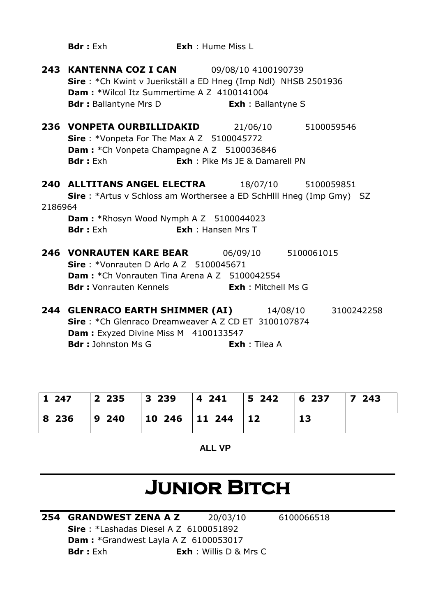|         | <b>Bdr</b> : Exh                                                                                                                                                                                                                  | <b>Exh</b> : Hume Miss L              |                      |  |
|---------|-----------------------------------------------------------------------------------------------------------------------------------------------------------------------------------------------------------------------------------|---------------------------------------|----------------------|--|
|         | <b>243 KANTENNA COZ I CAN</b> 09/08/10 4100190739<br>Sire: *Ch Kwint v Juerikställ a ED Hneg (Imp Ndl) NHSB 2501936<br><b>Dam: *Wilcol Itz Summertime A Z 4100141004</b><br><b>Bdr:</b> Ballantyne Mrs D <b>Exh:</b> Ballantyne S |                                       |                      |  |
|         | <b>236 VONPETA OURBILLIDAKID</b> 21/06/10 5100059546<br><b>Sire</b> : *Vonpeta For The Max A Z 5100045772<br><b>Dam:</b> *Ch Vonpeta Champagne A Z 5100036846<br><b>Bdr</b> : Exh                                                 | <b>Exh</b> : Pike Ms JE & Damarell PN |                      |  |
|         | <b>240 ALLTITANS ANGEL ELECTRA</b> 18/07/10 5100059851                                                                                                                                                                            |                                       |                      |  |
| 2186964 | Sire: *Artus v Schloss am Worthersee a ED SchHlll Hneg (Imp Gmy) SZ<br><b>Dam:</b> *Rhosyn Wood Nymph A Z 5100044023                                                                                                              |                                       |                      |  |
|         | <b>Bdr</b> : Exh                                                                                                                                                                                                                  | <b>Exh:</b> Hansen Mrs T              |                      |  |
|         | <b>246 VONRAUTEN KARE BEAR</b> 06/09/10 5100061015<br>Sire: *Vonrauten D Arlo A Z 5100045671<br><b>Dam:</b> *Ch Vonrauten Tina Arena A Z 5100042554<br><b>Bdr:</b> Vonrauten Kennels <b>Exh:</b> Mitchell Ms G                    |                                       |                      |  |
|         | <b>244 GLENRACO EARTH SHIMMER (AI)</b> 14/08/10 3100242258<br>Sire: *Ch Glenraco Dreamweaver A Z CD ET 3100107874<br>Dam : Exyzed Divine Miss M 4100133547<br><b>Bdr</b> : Johnston Ms G                                          |                                       | <b>Exh</b> : Tilea A |  |

| 1247 | 2 235   3 239   4 241   5 242   6 237   7 243 |  |  |
|------|-----------------------------------------------|--|--|
|      | 8 236   9 240   10 246   11 244   12          |  |  |

**ALL VP**

# **Junior Bitch**

**254 GRANDWEST ZENA A Z** 20/03/10 6100066518 **Sire** : \*Lashadas Diesel A Z 6100051892 **Dam :** \*Grandwest Layla A Z 6100053017 **Bdr :** Exh **Exh** : Willis D & Mrs C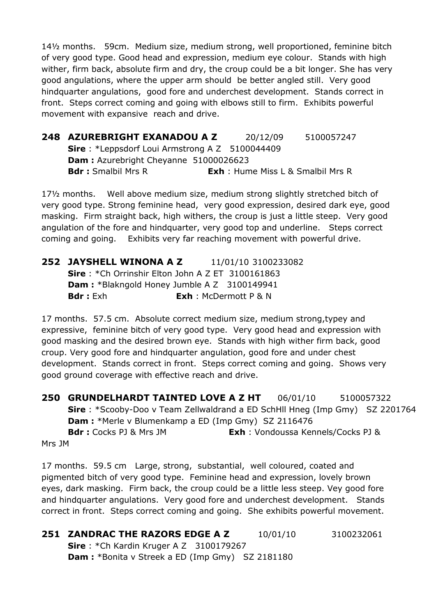14½ months. 59cm. Medium size, medium strong, well proportioned, feminine bitch of very good type. Good head and expression, medium eye colour. Stands with high wither, firm back, absolute firm and dry, the croup could be a bit longer. She has very good angulations, where the upper arm should be better angled still. Very good hindquarter angulations, good fore and underchest development. Stands correct in front. Steps correct coming and going with elbows still to firm. Exhibits powerful movement with expansive reach and drive.

**248 AZUREBRIGHT EXANADOU A Z** 20/12/09 5100057247 **Sire** : \*Leppsdorf Loui Armstrong A Z 5100044409 **Dam :** Azurebright Cheyanne 51000026623 **Bdr :** Smalbil Mrs R **Exh** : Hume Miss L & Smalbil Mrs R

17½ months. Well above medium size, medium strong slightly stretched bitch of very good type. Strong feminine head, very good expression, desired dark eye, good masking. Firm straight back, high withers, the croup is just a little steep. Very good angulation of the fore and hindquarter, very good top and underline. Steps correct coming and going. Exhibits very far reaching movement with powerful drive.

#### **252 JAYSHELL WINONA A Z** 11/01/10 3100233082 **Sire** : \*Ch Orrinshir Elton John A Z ET 3100161863 **Dam :** \*Blakngold Honey Jumble A Z 3100149941 **Bdr :** Exh **Exh** : McDermott P & N

17 months. 57.5 cm. Absolute correct medium size, medium strong,typey and expressive, feminine bitch of very good type. Very good head and expression with good masking and the desired brown eye. Stands with high wither firm back, good croup. Very good fore and hindquarter angulation, good fore and under chest development. Stands correct in front. Steps correct coming and going. Shows very good ground coverage with effective reach and drive.

**250 GRUNDELHARDT TAINTED LOVE A Z HT** 06/01/10 5100057322 **Sire** : \*Scooby-Doo v Team Zellwaldrand a ED SchHll Hneg (Imp Gmy) SZ 2201764 **Dam :** \*Merle v Blumenkamp a ED (Imp Gmy) SZ 2116476 **Bdr :** Cocks PJ & Mrs JM **Exh** : Vondoussa Kennels/Cocks PJ &

Mrs JM

17 months. 59.5 cm Large, strong, substantial, well coloured, coated and pigmented bitch of very good type. Feminine head and expression, lovely brown eyes, dark masking. Firm back, the croup could be a little less steep. Vey good fore and hindquarter angulations. Very good fore and underchest development. Stands correct in front. Steps correct coming and going. She exhibits powerful movement.

**251 ZANDRAC THE RAZORS EDGE A Z** 10/01/10 3100232061 **Sire** : \*Ch Kardin Kruger A Z 3100179267

**Dam :** \*Bonita v Streek a ED (Imp Gmy) SZ 2181180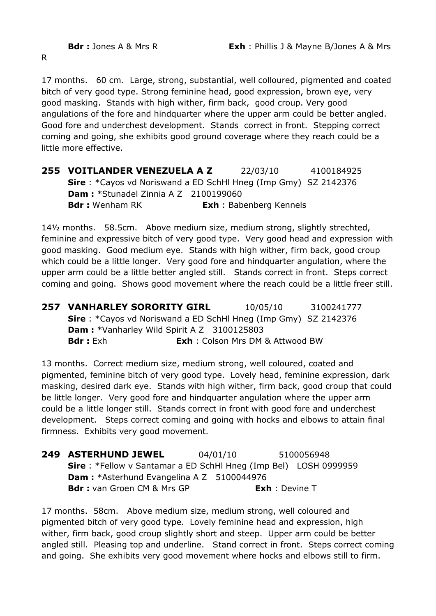R

17 months. 60 cm. Large, strong, substantial, well colloured, pigmented and coated bitch of very good type. Strong feminine head, good expression, brown eye, very good masking. Stands with high wither, firm back, good croup. Very good angulations of the fore and hindquarter where the upper arm could be better angled. Good fore and underchest development. Stands correct in front. Stepping correct coming and going, she exhibits good ground coverage where they reach could be a little more effective.

**255 VOITLANDER VENEZUELA A Z** 22/03/10 4100184925 **Sire** : \*Cayos vd Noriswand a ED SchHl Hneg (Imp Gmy) SZ 2142376 **Dam :** \*Stunadel Zinnia A Z 2100199060 **Bdr :** Wenham RK **Exh** : Babenberg Kennels

14½ months. 58.5cm. Above medium size, medium strong, slightly strechted, feminine and expressive bitch of very good type. Very good head and expression with good masking. Good medium eye. Stands with high wither, firm back, good croup which could be a little longer. Very good fore and hindquarter angulation, where the upper arm could be a little better angled still. Stands correct in front. Steps correct coming and going. Shows good movement where the reach could be a little freer still.

**257 VANHARLEY SORORITY GIRL** 10/05/10 3100241777 **Sire** : \*Cayos vd Noriswand a ED SchHl Hneg (Imp Gmy) SZ 2142376 **Dam :** \*Vanharley Wild Spirit A Z 3100125803 **Bdr :** Exh **Exh** : Colson Mrs DM & Attwood BW

13 months. Correct medium size, medium strong, well coloured, coated and pigmented, feminine bitch of very good type. Lovely head, feminine expression, dark masking, desired dark eye. Stands with high wither, firm back, good croup that could be little longer. Very good fore and hindquarter angulation where the upper arm could be a little longer still. Stands correct in front with good fore and underchest development. Steps correct coming and going with hocks and elbows to attain final firmness. Exhibits very good movement.

**249 ASTERHUND JEWEL** 04/01/10 5100056948 **Sire** : \*Fellow v Santamar a ED SchHl Hneg (Imp Bel) LOSH 0999959 **Dam : \***Asterhund Evangelina A Z 5100044976 **Bdr :** van Groen CM & Mrs GP **Exh** : Devine T

17 months. 58cm. Above medium size, medium strong, well coloured and pigmented bitch of very good type. Lovely feminine head and expression, high wither, firm back, good croup slightly short and steep. Upper arm could be better angled still. Pleasing top and underline. Stand correct in front. Steps correct coming and going. She exhibits very good movement where hocks and elbows still to firm.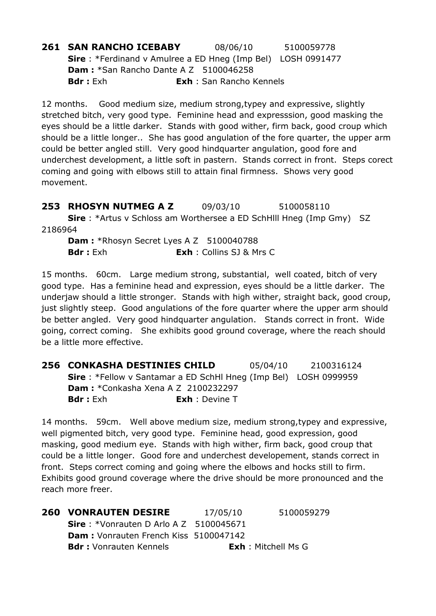**261 SAN RANCHO ICEBABY** 08/06/10 5100059778 **Sire** : \*Ferdinand v Amulree a ED Hneg (Imp Bel) LOSH 0991477 **Dam :** \*San Rancho Dante A Z 5100046258 **Bdr :** Exh **Exh** : San Rancho Kennels

12 months. Good medium size, medium strong,typey and expressive, slightly stretched bitch, very good type. Feminine head and expresssion, good masking the eyes should be a little darker. Stands with good wither, firm back, good croup which should be a little longer.. She has good angulation of the fore quarter, the upper arm could be better angled still. Very good hindquarter angulation, good fore and underchest development, a little soft in pastern. Stands correct in front. Steps corect coming and going with elbows still to attain final firmness. Shows very good movement.

**253 RHOSYN NUTMEG A Z** 09/03/10 5100058110 **Sire** : \*Artus v Schloss am Worthersee a ED SchHlll Hneg (Imp Gmy) SZ 2186964

**Dam : \***Rhosyn Secret Lyes A Z 5100040788 **Bdr :** Exh **Exh** : Collins SJ & Mrs C

15 months. 60cm. Large medium strong, substantial, well coated, bitch of very good type. Has a feminine head and expression, eyes should be a little darker. The underjaw should a little stronger. Stands with high wither, straight back, good croup, just slightly steep. Good angulations of the fore quarter where the upper arm should be better angled. Very good hindquarter angulation. Stands correct in front. Wide going, correct coming. She exhibits good ground coverage, where the reach should be a little more effective.

**256 CONKASHA DESTINIES CHILD** 05/04/10 2100316124 **Sire** : \*Fellow v Santamar a ED SchHl Hneg (Imp Bel) LOSH 0999959 **Dam :** \*Conkasha Xena A Z 2100232297 **Bdr :** Exh **Exh** : Devine T

14 months. 59cm. Well above medium size, medium strong,typey and expressive, well pigmented bitch, very good type. Feminine head, good expression, good masking, good medium eye. Stands with high wither, firm back, good croup that could be a little longer. Good fore and underchest developement, stands correct in front. Steps correct coming and going where the elbows and hocks still to firm. Exhibits good ground coverage where the drive should be more pronounced and the reach more freer.

| <b>260 VONRAUTEN DESIRE</b>                      | 17/05/10 | 5100059279                 |
|--------------------------------------------------|----------|----------------------------|
| <b>Sire</b> : *Vonrauten D Arlo A Z $5100045671$ |          |                            |
| <b>Dam:</b> Vonrauten French Kiss 5100047142     |          |                            |
| <b>Bdr:</b> Vonrauten Kennels                    |          | <b>Exh</b> : Mitchell Ms G |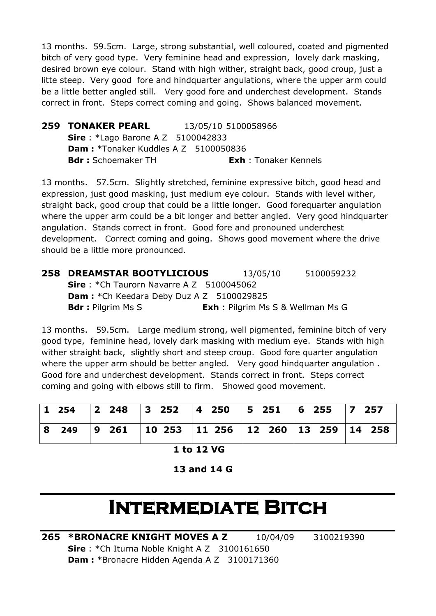13 months. 59.5cm. Large, strong substantial, well coloured, coated and pigmented bitch of very good type. Very feminine head and expression, lovely dark masking, desired brown eye colour. Stand with high wither, straight back, good croup, just a litte steep. Very good fore and hindquarter angulations, where the upper arm could be a little better angled still. Very good fore and underchest development. Stands correct in front. Steps correct coming and going. Shows balanced movement.

**259 TONAKER PEARL** 13/05/10 5100058966 **Sire** : \*Lago Barone A Z 5100042833 **Dam: \*Tonaker Kuddles A Z 5100050836 Bdr :** Schoemaker TH **Exh** : Tonaker Kennels

13 months. 57.5cm. Slightly stretched, feminine expressive bitch, good head and expression, just good masking, just medium eye colour. Stands with level wither, straight back, good croup that could be a little longer. Good forequarter angulation where the upper arm could be a bit longer and better angled. Very good hindquarter angulation. Stands correct in front. Good fore and pronouned underchest development. Correct coming and going. Shows good movement where the drive should be a little more pronounced.

| <b>258 DREAMSTAR BOOTYLICIOUS</b>                | 13/05/10                                 | 5100059232 |
|--------------------------------------------------|------------------------------------------|------------|
| <b>Sire</b> : *Ch Taurorn Navarre A Z 5100045062 |                                          |            |
| <b>Dam:</b> *Ch Keedara Deby Duz A Z 5100029825  |                                          |            |
| <b>Bdr</b> : Pilgrim Ms S                        | <b>Exh</b> : Pilgrim Ms S & Wellman Ms G |            |

13 months. 59.5cm. Large medium strong, well pigmented, feminine bitch of very good type, feminine head, lovely dark masking with medium eye. Stands with high wither straight back, slightly short and steep croup. Good fore quarter angulation where the upper arm should be better angled. Very good hindquarter angulation. Good fore and underchest development. Stands correct in front. Steps correct coming and going with elbows still to firm. Showed good movement.

|  | 8 249   9 261   10 253   11 256   12 260   13 259   14 258 |  |  |  |  |  |
|--|------------------------------------------------------------|--|--|--|--|--|

**1 to 12 VG**

**13 and 14 G**

# **Intermediate Bitch**

**265 \*BRONACRE KNIGHT MOVES A Z** 10/04/09 3100219390 **Sire** : \*Ch Iturna Noble Knight A Z 3100161650 **Dam :** \*Bronacre Hidden Agenda A Z 3100171360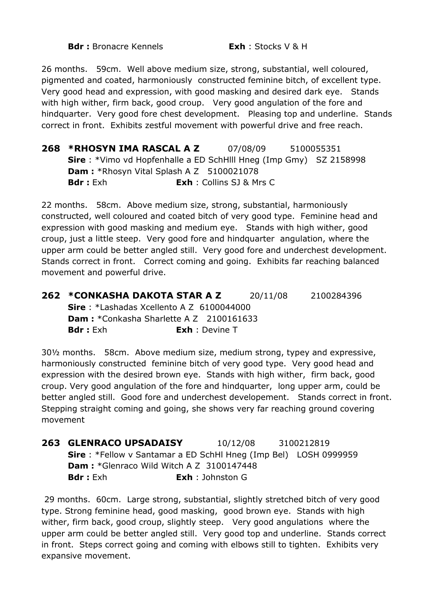**Bdr :** Bronacre Kennels **Exh** : Stocks V & H

26 months. 59cm. Well above medium size, strong, substantial, well coloured, pigmented and coated, harmoniously constructed feminine bitch, of excellent type. Very good head and expression, with good masking and desired dark eye. Stands with high wither, firm back, good croup. Very good angulation of the fore and hindquarter. Very good fore chest development. Pleasing top and underline. Stands correct in front. Exhibits zestful movement with powerful drive and free reach.

**268 \*RHOSYN IMA RASCAL A Z** 07/08/09 5100055351 **Sire** : \*Vimo vd Hopfenhalle a ED SchHlll Hneg (Imp Gmy) SZ 2158998 **Dam : \***Rhosyn Vital Splash A Z 5100021078 **Bdr :** Exh **Exh** : Collins SJ & Mrs C

22 months. 58cm. Above medium size, strong, substantial, harmoniously constructed, well coloured and coated bitch of very good type. Feminine head and expression with good masking and medium eye. Stands with high wither, good croup, just a little steep. Very good fore and hindquarter angulation, where the upper arm could be better angled still. Very good fore and underchest development. Stands correct in front. Correct coming and going. Exhibits far reaching balanced movement and powerful drive.

**262 \*CONKASHA DAKOTA STAR A Z** 20/11/08 2100284396 **Sire** : \*Lashadas Xcellento A Z 6100044000 **Dam : \***Conkasha Sharlette A Z 2100161633 **Bdr :** Exh **Exh** : Devine T

30½ months. 58cm. Above medium size, medium strong, typey and expressive, harmoniously constructed feminine bitch of very good type. Very good head and expression with the desired brown eye. Stands with high wither, firm back, good croup. Very good angulation of the fore and hindquarter, long upper arm, could be better angled still. Good fore and underchest developement. Stands correct in front. Stepping straight coming and going, she shows very far reaching ground covering movement

**263 GLENRACO UPSADAISY** 10/12/08 3100212819 **Sire** : \*Fellow v Santamar a ED SchHl Hneg (Imp Bel) LOSH 0999959 **Dam :** \*Glenraco Wild Witch A Z 3100147448 **Bdr :** Exh **Exh** : Johnston G

29 months. 60cm. Large strong, substantial, slightly stretched bitch of very good type. Strong feminine head, good masking, good brown eye. Stands with high wither, firm back, good croup, slightly steep. Very good angulations where the upper arm could be better angled still. Very good top and underline. Stands correct in front. Steps correct going and coming with elbows still to tighten. Exhibits very expansive movement.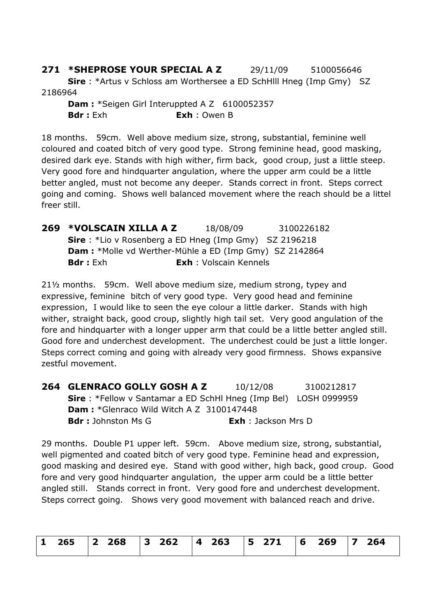**271 \*SHEPROSE YOUR SPECIAL A Z** 29/11/09 5100056646 **Sire** : \*Artus v Schloss am Worthersee a ED SchHlll Hneg (Imp Gmy) SZ 2186964

**Dam : \*Seigen Girl Interuppted A Z 6100052357 Bdr :** Exh **Exh** : Owen B

18 months. 59cm. Well above medium size, strong, substantial, feminine well coloured and coated bitch of very good type. Strong feminine head, good masking, desired dark eye. Stands with high wither, firm back, good croup, just a little steep. Very good fore and hindquarter angulation, where the upper arm could be a little better angled, must not become any deeper. Stands correct in front. Steps correct going and coming. Shows well balanced movement where the reach should be a littel freer still.

**269 \*VOLSCAIN XILLA A Z** 18/08/09 3100226182 **Sire** : \*Lio v Rosenberg a ED Hneg (Imp Gmy) SZ 2196218 **Dam :** \*Molle vd Werther-Mühle a ED (Imp Gmy) SZ 2142864 **Bdr :** Exh **Exh** : Volscain Kennels

21½ months. 59cm. Well above medium size, medium strong, typey and expressive, feminine bitch of very good type. Very good head and feminine expression, I would like to seen the eye colour a little darker. Stands with high wither, straight back, good croup, slightly high tail set. Very good angulation of the fore and hindquarter with a longer upper arm that could be a little better angled still. Good fore and underchest development. The underchest could be just a little longer. Steps correct coming and going with already very good firmness. Shows expansive zestful movement.

**264 GLENRACO GOLLY GOSH A Z** 10/12/08 3100212817 **Sire** : \*Fellow v Santamar a ED SchHl Hneg (Imp Bel) LOSH 0999959 **Dam :** \*Glenraco Wild Witch A Z 3100147448 **Bdr :** Johnston Ms G **Exh** : Jackson Mrs D

29 months. Double P1 upper left. 59cm. Above medium size, strong, substantial, well pigmented and coated bitch of very good type. Feminine head and expression, good masking and desired eye. Stand with good wither, high back, good croup. Good fore and very good hindquarter angulation, the upper arm could be a little better angled still. Stands correct in front. Very good fore and underchest development. Steps correct going. Shows very good movement with balanced reach and drive.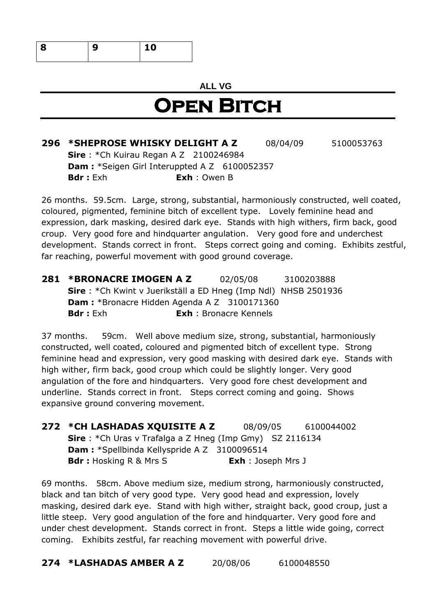| s<br>Ω<br>۰ | 0<br>-<br>- - |
|-------------|---------------|
|             |               |

#### **ALL VG**

### **Open Bitch**

**296 \*SHEPROSE WHISKY DELIGHT A Z** 08/04/09 5100053763 **Sire** : \*Ch Kuirau Regan A Z 2100246984 **Dam : \*Seigen Girl Interuppted A Z 6100052357 Bdr :** Exh **Exh** : Owen B

26 months. 59.5cm. Large, strong, substantial, harmoniously constructed, well coated, coloured, pigmented, feminine bitch of excellent type. Lovely feminine head and expression, dark masking, desired dark eye. Stands with high withers, firm back, good croup. Very good fore and hindquarter angulation. Very good fore and underchest development. Stands correct in front. Steps correct going and coming. Exhibits zestful, far reaching, powerful movement with good ground coverage.

**281 \*BRONACRE IMOGEN A Z** 02/05/08 3100203888 **Sire** : \*Ch Kwint v Juerikställ a ED Hneg (Imp Ndl) NHSB 2501936 **Dam :** \*Bronacre Hidden Agenda A Z 3100171360 **Bdr :** Exh **Exh** : Bronacre Kennels

37 months. 59cm. Well above medium size, strong, substantial, harmoniously constructed, well coated, coloured and pigmented bitch of excellent type. Strong feminine head and expression, very good masking with desired dark eye. Stands with high wither, firm back, good croup which could be slightly longer. Very good angulation of the fore and hindquarters. Very good fore chest development and underline. Stands correct in front. Steps correct coming and going. Shows expansive ground convering movement.

**272 \*CH LASHADAS XQUISITE A Z** 08/09/05 6100044002 **Sire** : \*Ch Uras v Trafalga a Z Hneg (Imp Gmy) SZ 2116134 **Dam :** \*Spellbinda Kellyspride A Z 3100096514 **Bdr :** Hosking R & Mrs S **Exh** : Joseph Mrs J

69 months. 58cm. Above medium size, medium strong, harmoniously constructed, black and tan bitch of very good type. Very good head and expression, lovely masking, desired dark eye. Stand with high wither, straight back, good croup, just a little steep. Very good angulation of the fore and hindquarter. Very good fore and under chest development. Stands correct in front. Steps a little wide going, correct coming. Exhibits zestful, far reaching movement with powerful drive.

**274 \*LASHADAS AMBER A Z** 20/08/06 6100048550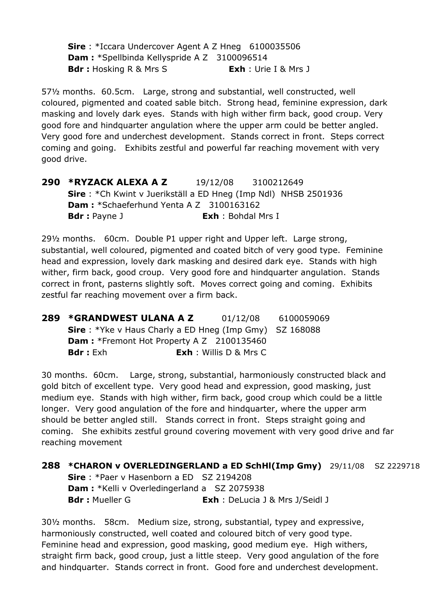**Sire** : \*Iccara Undercover Agent A Z Hneg 6100035506 **Dam :** \*Spellbinda Kellyspride A Z 3100096514 **Bdr :** Hosking R & Mrs S **Exh** : Urie I & Mrs J

57½ months. 60.5cm. Large, strong and substantial, well constructed, well coloured, pigmented and coated sable bitch. Strong head, feminine expression, dark masking and lovely dark eyes. Stands with high wither firm back, good croup. Very good fore and hindquarter angulation where the upper arm could be better angled. Very good fore and underchest development. Stands correct in front. Steps correct coming and going. Exhibits zestful and powerful far reaching movement with very good drive.

**290 \*RYZACK ALEXA A Z** 19/12/08 3100212649 **Sire** : \*Ch Kwint v Juerikställ a ED Hneg (Imp Ndl) NHSB 2501936 **Dam :** \*Schaeferhund Yenta A Z 3100163162 **Bdr :** Payne J **Exh** : Bohdal Mrs I

29½ months. 60cm. Double P1 upper right and Upper left. Large strong, substantial, well coloured, pigmented and coated bitch of very good type. Feminine head and expression, lovely dark masking and desired dark eye. Stands with high wither, firm back, good croup. Very good fore and hindquarter angulation. Stands correct in front, pasterns slightly soft. Moves correct going and coming. Exhibits zestful far reaching movement over a firm back.

| 289 *GRANDWEST ULANA A Z                                       | 01/12/08                      | 6100059069 |
|----------------------------------------------------------------|-------------------------------|------------|
| <b>Sire</b> : *Yke v Haus Charly a ED Hneg (Imp Gmy) SZ 168088 |                               |            |
| <b>Dam:</b> *Fremont Hot Property A Z 2100135460               |                               |            |
| <b>Bdr</b> : Exh                                               | <b>Exh</b> : Willis D & Mrs C |            |

30 months. 60cm. Large, strong, substantial, harmoniously constructed black and gold bitch of excellent type. Very good head and expression, good masking, just medium eye. Stands with high wither, firm back, good croup which could be a little longer. Very good angulation of the fore and hindquarter, where the upper arm should be better angled still. Stands correct in front. Steps straight going and coming. She exhibits zestful ground covering movement with very good drive and far reaching movement

**288 \*CHARON v OVERLEDINGERLAND a ED SchHl(Imp Gmy)** 29/11/08 SZ 2229718 **Sire** : \*Paer v Hasenborn a ED SZ 2194208 **Dam :** \*Kelli v Overledingerland a SZ 2075938 **Bdr :** Mueller G **Exh** : DeLucia J & Mrs J/Seidl J

30½ months. 58cm. Medium size, strong, substantial, typey and expressive, harmoniously constructed, well coated and coloured bitch of very good type. Feminine head and expression, good masking, good medium eye. High withers, straight firm back, good croup, just a little steep. Very good angulation of the fore and hindquarter. Stands correct in front. Good fore and underchest development.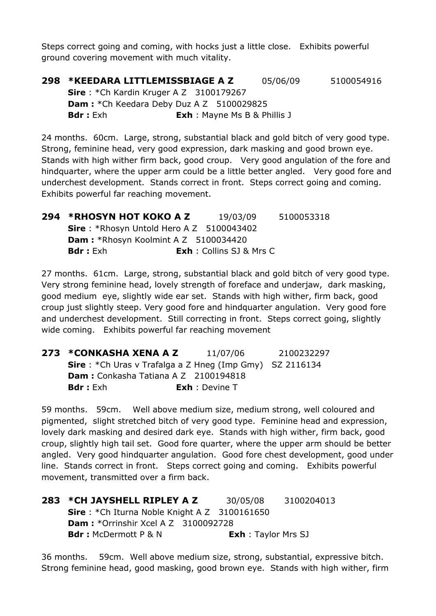Steps correct going and coming, with hocks just a little close. Exhibits powerful ground covering movement with much vitality.

**298 \*KEEDARA LITTLEMISSBIAGE A Z** 05/06/09 5100054916 **Sire** : \*Ch Kardin Kruger A Z 3100179267 **Dam : \***Ch Keedara Deby Duz A Z 5100029825 **Bdr :** Exh : Mayne Ms B & Phillis J

24 months. 60cm. Large, strong, substantial black and gold bitch of very good type. Strong, feminine head, very good expression, dark masking and good brown eye. Stands with high wither firm back, good croup. Very good angulation of the fore and hindquarter, where the upper arm could be a little better angled. Very good fore and underchest development. Stands correct in front. Steps correct going and coming. Exhibits powerful far reaching movement.

| 294 *RHOSYN HOT KOKO A Z                    | 19/03/09                        | 5100053318 |
|---------------------------------------------|---------------------------------|------------|
| Sire: *Rhosyn Untold Hero A Z 5100043402    |                                 |            |
| <b>Dam:</b> *Rhosyn Koolmint A Z 5100034420 |                                 |            |
| <b>Bdr</b> : Exh                            | <b>Exh</b> : Collins SJ & Mrs C |            |

27 months. 61cm. Large, strong, substantial black and gold bitch of very good type. Very strong feminine head, lovely strength of foreface and underjaw, dark masking, good medium eye, slightly wide ear set. Stands with high wither, firm back, good croup just slightly steep. Very good fore and hindquarter angulation. Very good fore and underchest development. Still correcting in front. Steps correct going, slightly wide coming. Exhibits powerful far reaching movement

| 273 *CONKASHA XENA A Z                                          | 11/07/06              | 2100232297 |
|-----------------------------------------------------------------|-----------------------|------------|
| <b>Sire</b> : *Ch Uras v Trafalga a Z Hneg (Imp Gmy) SZ 2116134 |                       |            |
| <b>Dam:</b> Conkasha Tatiana A Z 2100194818                     |                       |            |
| <b>Bdr</b> : Exh                                                | <b>Exh</b> : Devine T |            |

59 months. 59cm. Well above medium size, medium strong, well coloured and pigmented, slight stretched bitch of very good type. Feminine head and expression, lovely dark masking and desired dark eye. Stands with high wither, firm back, good croup, slightly high tail set. Good fore quarter, where the upper arm should be better angled. Very good hindquarter angulation. Good fore chest development, good under line. Stands correct in front. Steps correct going and coming. Exhibits powerful movement, transmitted over a firm back.

| 283 * CH JAYSHELL RIPLEY A Z                           | 30/05/08                   | 3100204013 |
|--------------------------------------------------------|----------------------------|------------|
| <b>Sire</b> : *Ch Iturna Noble Knight A $Z$ 3100161650 |                            |            |
| <b>Dam:</b> *Orrinshir Xcel A Z $3100092728$           |                            |            |
| <b>Bdr:</b> McDermott P & N                            | <b>Exh</b> : Taylor Mrs SJ |            |

36 months. 59cm. Well above medium size, strong, substantial, expressive bitch. Strong feminine head, good masking, good brown eye. Stands with high wither, firm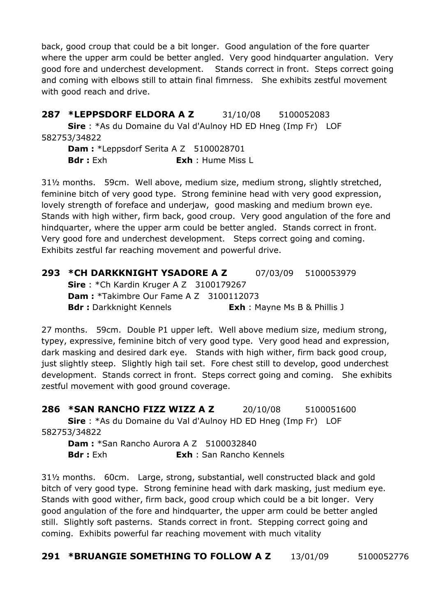back, good croup that could be a bit longer. Good angulation of the fore quarter where the upper arm could be better angled. Very good hindquarter angulation. Very good fore and underchest development. Stands correct in front. Steps correct going and coming with elbows still to attain final fimrness. She exhibits zestful movement with good reach and drive.

**287 \*LEPPSDORF ELDORA A Z** 31/10/08 5100052083 **Sire** : \*As du Domaine du Val d'Aulnoy HD ED Hneg (Imp Fr) LOF 582753/34822 **Dam : \*Leppsdorf Serita A Z 5100028701** 

**Bdr :** Exh **Exh** : Hume Miss L

31½ months. 59cm. Well above, medium size, medium strong, slightly stretched, feminine bitch of very good type. Strong feminine head with very good expression, lovely strength of foreface and underjaw, good masking and medium brown eye. Stands with high wither, firm back, good croup. Very good angulation of the fore and hindquarter, where the upper arm could be better angled. Stands correct in front. Very good fore and underchest development. Steps correct going and coming. Exhibits zestful far reaching movement and powerful drive.

| 293 *CH DARKKNIGHT YSADORE A Z                 |                                     | 07/03/09 5100053979 |
|------------------------------------------------|-------------------------------------|---------------------|
| <b>Sire</b> : *Ch Kardin Kruger A Z 3100179267 |                                     |                     |
| <b>Dam:</b> *Takimbre Our Fame A Z 3100112073  |                                     |                     |
| <b>Bdr:</b> Darkknight Kennels                 | <b>Exh</b> : Mayne Ms B & Phillis J |                     |

27 months. 59cm. Double P1 upper left. Well above medium size, medium strong, typey, expressive, feminine bitch of very good type. Very good head and expression, dark masking and desired dark eye. Stands with high wither, firm back good croup, just slightly steep. Slightly high tail set. Fore chest still to develop, good underchest development. Stands correct in front. Steps correct going and coming. She exhibits zestful movement with good ground coverage.

**286 \*SAN RANCHO FIZZ WIZZ A Z** 20/10/08 5100051600 **Sire** : \*As du Domaine du Val d'Aulnoy HD ED Hneg (Imp Fr) LOF 582753/34822

**Dam :** \*San Rancho Aurora A Z 5100032840 **Bdr :** Exh **Exh** : San Rancho Kennels

31½ months. 60cm. Large, strong, substantial, well constructed black and gold bitch of very good type. Strong feminine head with dark masking, just medium eye. Stands with good wither, firm back, good croup which could be a bit longer. Very good angulation of the fore and hindquarter, the upper arm could be better angled still. Slightly soft pasterns. Stands correct in front. Stepping correct going and coming. Exhibits powerful far reaching movement with much vitality

**291 \*BRUANGIE SOMETHING TO FOLLOW A Z** 13/01/09 5100052776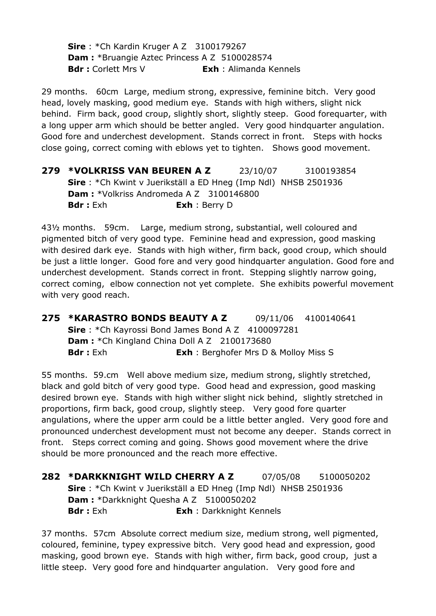**Sire** : \*Ch Kardin Kruger A Z 3100179267 **Dam :** \*Bruangie Aztec Princess A Z 5100028574 **Bdr :** Corlett Mrs V **Exh** : Alimanda Kennels

29 months. 60cm Large, medium strong, expressive, feminine bitch. Very good head, lovely masking, good medium eye. Stands with high withers, slight nick behind. Firm back, good croup, slightly short, slightly steep. Good forequarter, with a long upper arm which should be better angled. Very good hindquarter angulation. Good fore and underchest development. Stands correct in front. Steps with hocks close going, correct coming with eblows yet to tighten. Shows good movement.

**279 \*VOLKRISS VAN BEUREN A Z** 23/10/07 3100193854 **Sire** : \*Ch Kwint v Juerikställ a ED Hneg (Imp Ndl) NHSB 2501936 **Dam :** \*Volkriss Andromeda A Z 3100146800 **Bdr :** Exh **Exh** : Berry D

43½ months. 59cm. Large, medium strong, substantial, well coloured and pigmented bitch of very good type. Feminine head and expression, good masking with desired dark eye. Stands with high wither, firm back, good croup, which should be just a little longer. Good fore and very good hindquarter angulation. Good fore and underchest development. Stands correct in front. Stepping slightly narrow going, correct coming, elbow connection not yet complete. She exhibits powerful movement with very good reach.

**275 \*KARASTRO BONDS BEAUTY A Z** 09/11/06 4100140641 **Sire** : \*Ch Kayrossi Bond James Bond A Z 4100097281 **Dam : \*Ch Kingland China Doll A Z 2100173680 Bdr :** Exh **Exh** : Berghofer Mrs D & Molloy Miss S

55 months. 59.cm Well above medium size, medium strong, slightly stretched, black and gold bitch of very good type. Good head and expression, good masking desired brown eye. Stands with high wither slight nick behind, slightly stretched in proportions, firm back, good croup, slightly steep. Very good fore quarter angulations, where the upper arm could be a little better angled. Very good fore and pronounced underchest development must not become any deeper. Stands correct in front. Steps correct coming and going. Shows good movement where the drive should be more pronounced and the reach more effective.

**282 \*DARKKNIGHT WILD CHERRY A Z** 07/05/08 5100050202 **Sire** : \*Ch Kwint v Juerikställ a ED Hneg (Imp Ndl) NHSB 2501936 **Dam :** \*Darkknight Quesha A Z 5100050202 **Bdr :** Exh **Exh** : Darkknight Kennels

37 months. 57cm Absolute correct medium size, medium strong, well pigmented, coloured, feminine, typey expressive bitch. Very good head and expression, good masking, good brown eye. Stands with high wither, firm back, good croup, just a little steep. Very good fore and hindquarter angulation. Very good fore and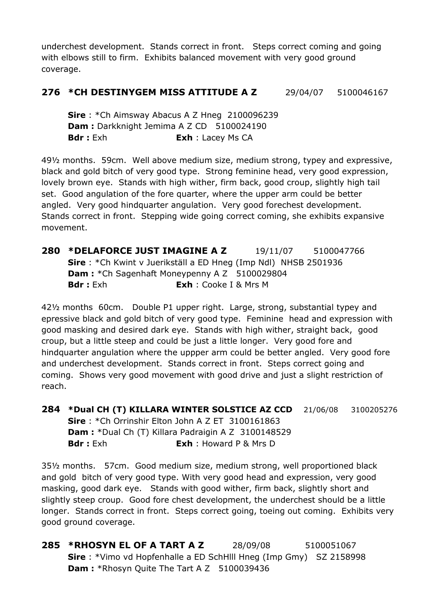underchest development. Stands correct in front. Steps correct coming and going with elbows still to firm. Exhibits balanced movement with very good ground coverage.

#### **276 \*CH DESTINYGEM MISS ATTITUDE A Z** 29/04/07 5100046167

**Sire** : \*Ch Aimsway Abacus A Z Hneg 2100096239 **Dam : Darkknight Jemima A Z CD 5100024190 Bdr :** Exh **Exh** : Lacey Ms CA

49½ months. 59cm. Well above medium size, medium strong, typey and expressive, black and gold bitch of very good type. Strong feminine head, very good expression, lovely brown eye. Stands with high wither, firm back, good croup, slightly high tail set. Good angulation of the fore quarter, where the upper arm could be better angled. Very good hindquarter angulation. Very good forechest development. Stands correct in front. Stepping wide going correct coming, she exhibits expansive movement.

**280 \*DELAFORCE JUST IMAGINE A Z** 19/11/07 5100047766 **Sire** : \*Ch Kwint v Juerikställ a ED Hneg (Imp Ndl) NHSB 2501936 **Dam : \*Ch Sagenhaft Moneypenny A Z 5100029804 Bdr :** Exh **Exh** : Cooke I & Mrs M

42½ months 60cm. Double P1 upper right. Large, strong, substantial typey and epressive black and gold bitch of very good type. Feminine head and expression with good masking and desired dark eye. Stands with high wither, straight back, good croup, but a little steep and could be just a little longer. Very good fore and hindquarter angulation where the uppper arm could be better angled. Very good fore and underchest development. Stands correct in front. Steps correct going and coming. Shows very good movement with good drive and just a slight restriction of reach.

**284 \*Dual CH (T) KILLARA WINTER SOLSTICE AZ CCD** 21/06/08 3100205276 **Sire** : \*Ch Orrinshir Elton John A Z ET 3100161863 **Dam :** \*Dual Ch (T) Killara Padraigin A Z 3100148529 **Bdr :** Exh **Exh** : Howard P & Mrs D

35½ months. 57cm. Good medium size, medium strong, well proportioned black and gold bitch of very good type. With very good head and expression, very good masking, good dark eye. Stands with good wither, firm back, slightly short and slightly steep croup. Good fore chest development, the underchest should be a little longer. Stands correct in front. Steps correct going, toeing out coming. Exhibits very good ground coverage.

**285 \*RHOSYN EL OF A TART A Z** 28/09/08 5100051067 **Sire** : \*Vimo vd Hopfenhalle a ED SchHlll Hneg (Imp Gmy) SZ 2158998 **Dam : \***Rhosyn Quite The Tart A Z 5100039436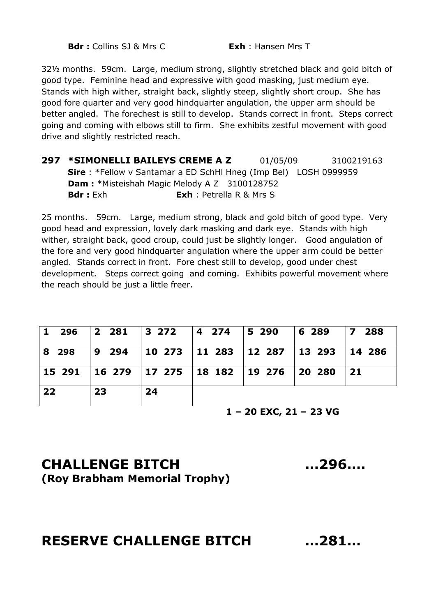**Bdr :** Collins SJ & Mrs C **Exh** : Hansen Mrs T

32½ months. 59cm. Large, medium strong, slightly stretched black and gold bitch of good type. Feminine head and expressive with good masking, just medium eye. Stands with high wither, straight back, slightly steep, slightly short croup. She has good fore quarter and very good hindquarter angulation, the upper arm should be better angled. The forechest is still to develop. Stands correct in front. Steps correct going and coming with elbows still to firm. She exhibits zestful movement with good drive and slightly restricted reach.

**297 \*SIMONELLI BAILEYS CREME A Z** 01/05/09 3100219163 **Sire** : \*Fellow v Santamar a ED SchHl Hneg (Imp Bel) LOSH 0999959 **Dam :** \*Misteishah Magic Melody A Z 3100128752 **Bdr :** Exh **Exh** : Petrella R & Mrs S

25 months. 59cm. Large, medium strong, black and gold bitch of good type. Very good head and expression, lovely dark masking and dark eye. Stands with high wither, straight back, good croup, could just be slightly longer. Good angulation of the fore and very good hindquarter angulation where the upper arm could be better angled. Stands correct in front. Fore chest still to develop, good under chest development. Steps correct going and coming. Exhibits powerful movement where the reach should be just a little freer.

|       | 1 296  2 281  3 272  4 274  5 290                        |    |  | $ 6\>289$ | 7 288 |
|-------|----------------------------------------------------------|----|--|-----------|-------|
| 8 298 |                                                          |    |  |           |       |
|       | 15 291   16 279   17 275   18 182   19 276   20 280   21 |    |  |           |       |
| 22    | 23                                                       | 24 |  |           |       |

**1 – 20 EXC, 21 – 23 VG**

#### **CHALLENGE BITCH …296…. (Roy Brabham Memorial Trophy)**

#### **RESERVE CHALLENGE BITCH …281…**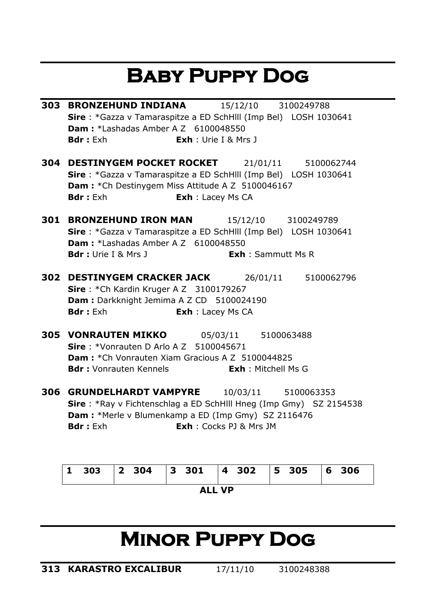# **Baby Puppy Dog**

- **303 BRONZEHUND INDIANA** 15/12/10 3100249788 **Sire** : \*Gazza v Tamaraspitze a ED SchHlll (Imp Bel) LOSH 1030641 **Dam: \*Lashadas Amber A Z 6100048550 Bdr :** Exh **Exh** : Urie I & Mrs J
- **304 DESTINYGEM POCKET ROCKET** 21/01/11 5100062744 **Sire** : \*Gazza v Tamaraspitze a ED SchHlll (Imp Bel) LOSH 1030641 **Dam : \***Ch Destinygem Miss Attitude A Z 5100046167 **Bdr :** Exh **Exh** : Lacey Ms CA
- **301 BRONZEHUND IRON MAN** 15/12/10 3100249789 **Sire** : \*Gazza v Tamaraspitze a ED SchHlll (Imp Bel) LOSH 1030641 **Dam :** \*Lashadas Amber A Z 6100048550 **Bdr :** Urie I & Mrs J **Exh** : Sammutt Ms R
- **302 DESTINYGEM CRACKER JACK** 26/01/11 5100062796 **Sire** : \*Ch Kardin Kruger A Z 3100179267 **Dam : Darkknight Jemima A Z CD 5100024190 Bdr :** Exh **Exh** : Lacey Ms CA
- **305 VONRAUTEN MIKKO** 05/03/11 5100063488 **Sire** : \*Vonrauten D Arlo A Z 5100045671 **Dam :** \*Ch Vonrauten Xiam Gracious A Z 5100044825 **Bdr :** Vonrauten Kennels<br> **Exh** : Mitchell Ms G
- **306 GRUNDELHARDT VAMPYRE** 10/03/11 5100063353 **Sire** : \*Ray v Fichtenschlag a ED SchHlll Hneg (Imp Gmy) SZ 2154538 **Dam :** \*Merle v Blumenkamp a ED (Imp Gmy) SZ 2116476 **Bdr :** Exh **Exh** : Cocks PJ & Mrs JM

| $\blacksquare$ |  |  |  |  | 303 2 304 3 301 4 302 5 305 6 306 |  |
|----------------|--|--|--|--|-----------------------------------|--|
| ALL VP         |  |  |  |  |                                   |  |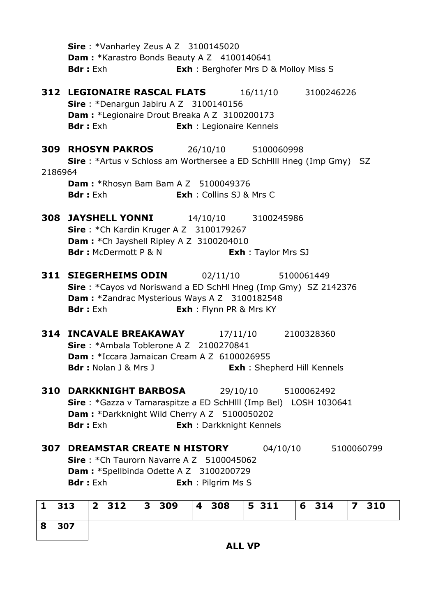|         | Sire: *Vanharley Zeus A Z 3100145020<br>Dam: *Karastro Bonds Beauty A Z 4100140641<br><b>Exh:</b> Berghofer Mrs D & Molloy Miss S<br><b>Bdr</b> : Exh                                                                                 |
|---------|---------------------------------------------------------------------------------------------------------------------------------------------------------------------------------------------------------------------------------------|
|         | <b>312 LEGIONAIRE RASCAL FLATS</b><br>16/11/10 3100246226<br>Sire: *Denargun Jabiru A Z 3100140156<br>Dam : *Legionaire Drout Breaka A Z 3100200173<br><b>Bdr</b> : Exh<br><b>Exh</b> : Legionaire Kennels                            |
| 2186964 | <b>309 RHOSYN PAKROS</b><br>26/10/10 5100060998<br><b>Sire</b> : *Artus v Schloss am Worthersee a ED SchHill Hneg (Imp Gmy) SZ<br><b>Dam:</b> *Rhosyn Bam Bam A Z 5100049376<br><b>Exh</b> : Collins SJ & Mrs C<br><b>Bdr</b> : Exh   |
|         | <b>308 JAYSHELL YONNI</b><br>14/10/10 3100245986<br>Sire: *Ch Kardin Kruger A Z 3100179267<br>Dam: * Ch Jayshell Ripley A Z 3100204010<br><b>Bdr:</b> McDermott P & N<br><b>Exh:</b> Taylor Mrs SJ                                    |
|         | <b>311 SIEGERHEIMS ODIN</b><br>02/11/10<br>5100061449<br><b>Sire</b> : *Cayos vd Noriswand a ED SchHI Hneg (Imp Gmy) SZ 2142376<br>Dam: *Zandrac Mysterious Ways A Z 3100182548<br><b>Bdr</b> : Exh<br><b>Exh</b> : Flynn PR & Mrs KY |
|         | 314 INCAVALE BREAKAWAY<br>17/11/10 2100328360<br>Sire: *Ambala Toblerone A Z 2100270841<br><b>Dam:</b> *Iccara Jamaican Cream A Z 6100026955<br><b>Bdr</b> : Nolan J & Mrs J<br><b>Exh:</b> Shepherd Hill Kennels                     |
| 310     | <b>DARKKNIGHT BARBOSA</b><br>29/10/10 5100062492<br><b>Sire</b> : *Gazza v Tamaraspitze a ED SchHlll (Imp Bel) LOSH 1030641<br>Dam: *Darkknight Wild Cherry A Z 5100050202<br><b>Exh</b> : Darkknight Kennels<br><b>Bdr</b> : Exh     |
|         | <b>307 DREAMSTAR CREATE N HISTORY</b><br>04/10/10<br>5100060799<br><b>Sire</b> : $*$ Ch Taurorn Navarre A Z 5100045062<br><b>Dam: *Spellbinda Odette A Z 3100200729</b><br><b>Bdr</b> : Exh<br><b>Exh</b> : Pilgrim Ms S              |
| 1 313   | 2 312 3 309<br>5 311 6 314<br>$\vert$ 4 308<br>7 310                                                                                                                                                                                  |

|       |  | 1 313 2 312 3 309 4 308 5 311 6 314 7 310 |  |
|-------|--|-------------------------------------------|--|
| 8 307 |  |                                           |  |

**ALL VP**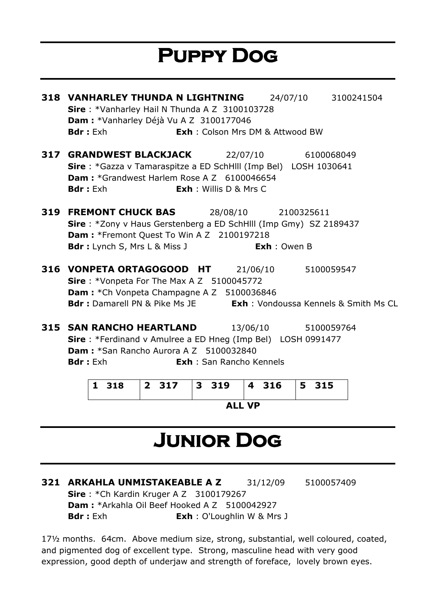# **Puppy Dog**

| <b>318 VANHARLEY THUNDA N LIGHTNING</b><br>Sire: *Vanharley Hail N Thunda A Z 3100103728<br>Dam : * Vanharley Déjà Vu A Z 3100177046<br><b>Bdr:</b> Exh                                                                                           | <b>Exh</b> : Colson Mrs DM & Attwood BW | 24/07/10 3100241504 |
|---------------------------------------------------------------------------------------------------------------------------------------------------------------------------------------------------------------------------------------------------|-----------------------------------------|---------------------|
| <b>317 GRANDWEST BLACKJACK</b> 22/07/10 6100068049<br>Sire: *Gazza v Tamaraspitze a ED SchHlll (Imp Bel) LOSH 1030641<br><b>Dam:</b> *Grandwest Harlem Rose A Z 6100046654<br><b>Exh</b> : Willis D & Mrs C<br><b>Bdr</b> : Exh                   |                                         |                     |
| <b>319 FREMONT CHUCK BAS</b> 28/08/10 2100325611<br>Sire: *Zony v Haus Gerstenberg a ED SchHlll (Imp Gmy) SZ 2189437<br><b>Dam: *Fremont Quest To Win A Z 2100197218</b><br><b>Bdr</b> : Lynch S, Mrs L & Miss J                                  | <b>Exh</b> : Owen B                     |                     |
| <b>316 VONPETA ORTAGOGOOD HT</b> 21/06/10 5100059547<br><b>Sire</b> : *Vonpeta For The Max A Z 5100045772<br><b>Dam:</b> *Ch Vonpeta Champagne A Z 5100036846<br><b>Bdr:</b> Damarell PN & Pike Ms JE <b>Exh:</b> Vondoussa Kennels & Smith Ms CL |                                         |                     |
| <b>315 SAN RANCHO HEARTLAND</b> 13/06/10<br>Sire: *Ferdinand v Amulree a ED Hneg (Imp Bel) LOSH 0991477<br><b>Dam:</b> *San Rancho Aurora A Z 5100032840<br><b>Bdr:</b> Exh                                                                       | <b>Exh</b> : San Rancho Kennels         | 5100059764          |

| 1 318  |  | 2 317   3 319   4 316   5 315 |  |  |  |
|--------|--|-------------------------------|--|--|--|
| ALL VP |  |                               |  |  |  |

# **Junior Dog**

**321 ARKAHLA UNMISTAKEABLE A Z** 31/12/09 5100057409 **Sire** : \*Ch Kardin Kruger A Z 3100179267 **Dam :** \*Arkahla Oil Beef Hooked A Z 5100042927 **Bdr :** Exh **Exh** : O'Loughlin W & Mrs J

17½ months. 64cm. Above medium size, strong, substantial, well coloured, coated, and pigmented dog of excellent type. Strong, masculine head with very good expression, good depth of underjaw and strength of foreface, lovely brown eyes.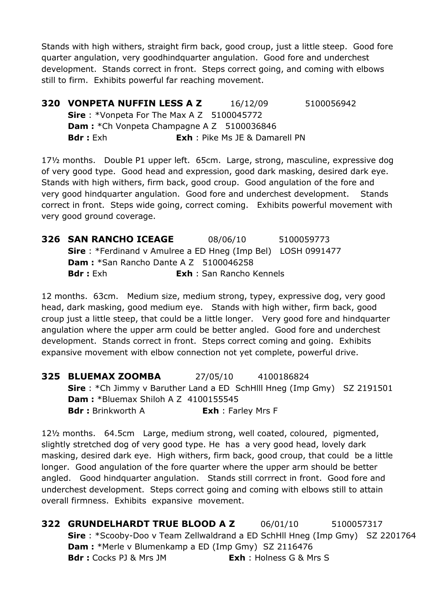Stands with high withers, straight firm back, good croup, just a little steep. Good fore quarter angulation, very goodhindquarter angulation. Good fore and underchest development. Stands correct in front. Steps correct going, and coming with elbows still to firm. Exhibits powerful far reaching movement.

**320 VONPETA NUFFIN LESS A Z** 16/12/09 5100056942 **Sire** : \*Vonpeta For The Max A Z 5100045772 **Dam : \*Ch Vonpeta Champagne A Z 5100036846 Bdr :** Exh **Exh** : Pike Ms JE & Damarell PN

17½ months. Double P1 upper left. 65cm. Large, strong, masculine, expressive dog of very good type. Good head and expression, good dark masking, desired dark eye. Stands with high withers, firm back, good croup. Good angulation of the fore and very good hindquarter angulation. Good fore and underchest development. Stands correct in front. Steps wide going, correct coming. Exhibits powerful movement with very good ground coverage.

**326 SAN RANCHO ICEAGE** 08/06/10 5100059773 **Sire** : \*Ferdinand v Amulree a ED Hneg (Imp Bel) LOSH 0991477 **Dam :** \*San Rancho Dante A Z 5100046258 **Bdr :** Exh **Exh** : San Rancho Kennels

12 months. 63cm. Medium size, medium strong, typey, expressive dog, very good head, dark masking, good medium eye. Stands with high wither, firm back, good croup just a little steep, that could be a little longer. Very good fore and hindquarter angulation where the upper arm could be better angled. Good fore and underchest development. Stands correct in front. Steps correct coming and going. Exhibits expansive movement with elbow connection not yet complete, powerful drive.

**325 BLUEMAX ZOOMBA** 27/05/10 4100186824 **Sire** : \*Ch Jimmy v Baruther Land a ED SchHlll Hneg (Imp Gmy) SZ 2191501 **Dam :** \*Bluemax Shiloh A Z 4100155545 **Bdr :** Brinkworth A **Exh** : Farley Mrs F

12½ months. 64.5cm Large, medium strong, well coated, coloured, pigmented, slightly stretched dog of very good type. He has a very good head, lovely dark masking, desired dark eye. High withers, firm back, good croup, that could be a little longer. Good angulation of the fore quarter where the upper arm should be better angled. Good hindquarter angulation. Stands still corrrect in front. Good fore and underchest development. Steps correct going and coming with elbows still to attain overall firmness. Exhibits expansive movement.

**322 GRUNDELHARDT TRUE BLOOD A Z** 06/01/10 5100057317 **Sire** : \*Scooby-Doo v Team Zellwaldrand a ED SchHll Hneg (Imp Gmy) SZ 2201764 **Dam :** \*Merle v Blumenkamp a ED (Imp Gmy) SZ 2116476 **Bdr :** Cocks PJ & Mrs JM **Exh** : Holness G & Mrs S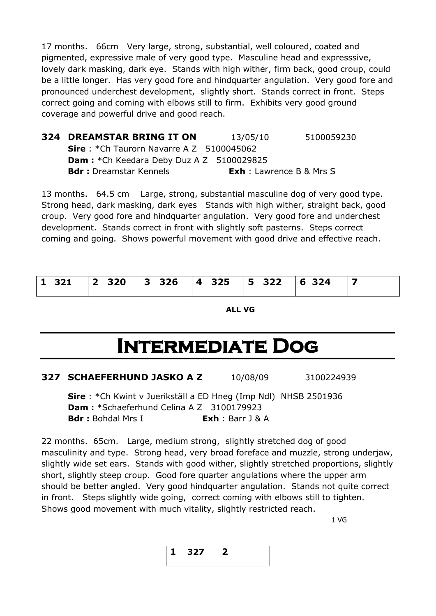17 months. 66cm Very large, strong, substantial, well coloured, coated and pigmented, expressive male of very good type. Masculine head and expresssive, lovely dark masking, dark eye. Stands with high wither, firm back, good croup, could be a little longer. Has very good fore and hindquarter angulation. Very good fore and pronounced underchest development, slightly short. Stands correct in front. Steps correct going and coming with elbows still to firm. Exhibits very good ground coverage and powerful drive and good reach.

| <b>324 DREAMSTAR BRING IT ON</b>                 | 13/05/10                        | 5100059230 |
|--------------------------------------------------|---------------------------------|------------|
| <b>Sire</b> : *Ch Taurorn Navarre A Z 5100045062 |                                 |            |
| <b>Dam:</b> *Ch Keedara Deby Duz A Z 5100029825  |                                 |            |
| <b>Bdr:</b> Dreamstar Kennels                    | <b>Exh</b> : Lawrence B & Mrs S |            |

13 months. 64.5 cm Large, strong, substantial masculine dog of very good type. Strong head, dark masking, dark eyes Stands with high wither, straight back, good croup. Very good fore and hindquarter angulation. Very good fore and underchest development. Stands correct in front with slightly soft pasterns. Steps correct coming and going. Shows powerful movement with good drive and effective reach.

|  | 1 321   2 320   3 326   4 325   5 322   6 324   7 |  |  |  |
|--|---------------------------------------------------|--|--|--|
|  |                                                   |  |  |  |

**ALL VG**

# **Intermediate Dog**

| 327 SCHAEFERHUND JASKO A Z | 10/08/09 | 3100224939 |
|----------------------------|----------|------------|
|                            |          |            |

**Sire** : \*Ch Kwint v Juerikställ a ED Hneg (Imp Ndl) NHSB 2501936 **Dam :** \*Schaeferhund Celina A Z 3100179923 **Bdr :** Bohdal Mrs I **Exh** : Barr J & A

22 months. 65cm. Large, medium strong, slightly stretched dog of good masculinity and type. Strong head, very broad foreface and muzzle, strong underjaw, slightly wide set ears. Stands with good wither, slightly stretched proportions, slightly short, slightly steep croup. Good fore quarter angulations where the upper arm should be better angled. Very good hindquarter angulation. Stands not quite correct in front. Steps slightly wide going, correct coming with elbows still to tighten. Shows good movement with much vitality, slightly restricted reach.

1 VG

$$
\begin{array}{|c|c|c|}\n\hline\n1 & 327 & 2 \\
\hline\n\end{array}
$$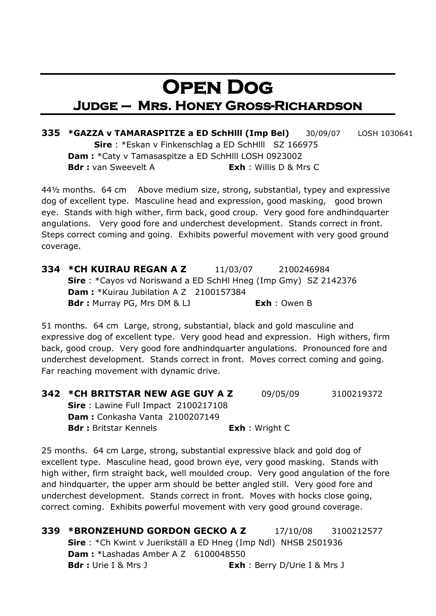#### **Open Dog Judge – Mrs. Honey Gross-Richardson**

**335 \*GAZZA v TAMARASPITZE a ED SchHlll (Imp Bel)** 30/09/07 LOSH 1030641 **Sire** : \*Eskan v Finkenschlag a ED SchHlll SZ 166975 **Dam :** \*Caty v Tamasaspitze a ED SchHlll LOSH 0923002 **Bdr :** van Sweevelt A **Exh** : Willis D & Mrs C

44½ months. 64 cm Above medium size, strong, substantial, typey and expressive dog of excellent type. Masculine head and expression, good masking, good brown eye. Stands with high wither, firm back, good croup. Very good fore andhindquarter angulations. Very good fore and underchest development. Stands correct in front. Steps correct coming and going. Exhibits powerful movement with very good ground coverage.

**334 \*CH KUIRAU REGAN A Z** 11/03/07 2100246984 **Sire** : \*Cayos vd Noriswand a ED SchHl Hneg (Imp Gmy) SZ 2142376 **Dam : \***Kuirau Jubilation A Z 2100157384 **Bdr :** Murray PG, Mrs DM & LJ **Exh** : Owen B

51 months. 64 cm Large, strong, substantial, black and gold masculine and expressive dog of excellent type. Very good head and expression. High withers, firm back, good croup. Very good fore andhindquarter angulations. Pronounced fore and underchest development. Stands correct in front. Moves correct coming and going. Far reaching movement with dynamic drive.

| 342 *CH BRITSTAR NEW AGE GUY A Z      | 09/05/09                | 3100219372 |
|---------------------------------------|-------------------------|------------|
| Sire: Lawine Full Impact 2100217108   |                         |            |
| <b>Dam:</b> Conkasha Vanta 2100207149 |                         |            |
| <b>Bdr:</b> Britstar Kennels          | <b>Exh</b> : Wright $C$ |            |
|                                       |                         |            |

25 months. 64 cm Large, strong, substantial expressive black and gold dog of excellent type. Masculine head, good brown eye, very good masking. Stands with high wither, firm straight back, well moulded croup. Very good angulation of the fore and hindquarter, the upper arm should be better angled still. Very good fore and underchest development. Stands correct in front. Moves with hocks close going, correct coming. Exhibits powerful movement with very good ground coverage.

**339 \*BRONZEHUND GORDON GECKO A Z** 17/10/08 3100212577 **Sire** : \*Ch Kwint v Juerikställ a ED Hneg (Imp Ndl) NHSB 2501936 **Dam :** \*Lashadas Amber A Z 6100048550 **Bdr :** Urie I & Mrs J **Exh** : Berry D/Urie I & Mrs J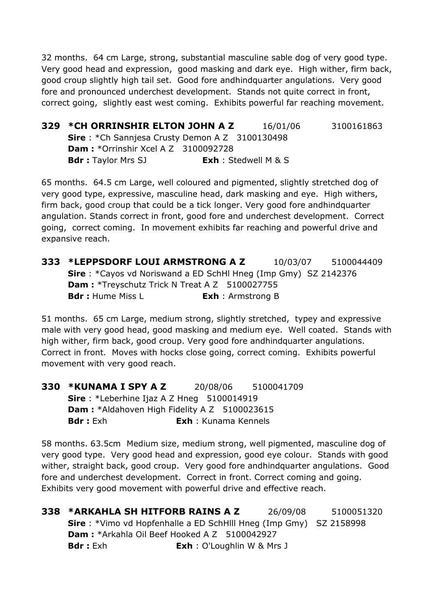32 months. 64 cm Large, strong, substantial masculine sable dog of very good type. Very good head and expression, good masking and dark eye. High wither, firm back, good croup slightly high tail set. Good fore andhindquarter angulations. Very good fore and pronounced underchest development. Stands not quite correct in front, correct going, slightly east west coming. Exhibits powerful far reaching movement.

**329 \*CH ORRINSHIR ELTON JOHN A Z** 16/01/06 3100161863 **Sire** : \*Ch Sannjesa Crusty Demon A Z 3100130498 **Dam :** \*Orrinshir Xcel A Z 3100092728 **Bdr :** Taylor Mrs SJ **Exh** : Stedwell M & S

65 months. 64.5 cm Large, well coloured and pigmented, slightly stretched dog of very good type, expressive, masculine head, dark masking and eye. High withers, firm back, good croup that could be a tick longer. Very good fore andhindquarter angulation. Stands correct in front, good fore and underchest development. Correct going, correct coming. In movement exhibits far reaching and powerful drive and expansive reach.

**333 \*LEPPSDORF LOUI ARMSTRONG A Z** 10/03/07 5100044409 **Sire** : \*Cayos vd Noriswand a ED SchHl Hneg (Imp Gmy) SZ 2142376 **Dam : \*Treyschutz Trick N Treat A Z 5100027755 Bdr :** Hume Miss L **Exh** : Armstrong B

51 months. 65 cm Large, medium strong, slightly stretched, typey and expressive male with very good head, good masking and medium eye. Well coated. Stands with high wither, firm back, good croup. Very good fore andhindquarter angulations. Correct in front. Moves with hocks close going, correct coming. Exhibits powerful movement with very good reach.

**330 \*KUNAMA I SPY A Z** 20/08/06 5100041709 **Sire** : \*Leberhine Ijaz A Z Hneg 5100014919 **Dam : \***Aldahoven High Fidelity A Z 5100023615 **Bdr :** Exh **Exh** : Kunama Kennels

58 months. 63.5cm Medium size, medium strong, well pigmented, masculine dog of very good type. Very good head and expression, good eye colour. Stands with good wither, straight back, good croup. Very good fore andhindquarter angulations. Good fore and underchest development. Correct in front. Correct coming and going. Exhibits very good movement with powerful drive and effective reach.

**338 \*ARKAHLA SH HITFORB RAINS A Z** 26/09/08 5100051320 **Sire** : \*Vimo vd Hopfenhalle a ED SchHlll Hneg (Imp Gmy) SZ 2158998 **Dam :** \*Arkahla Oil Beef Hooked A Z 5100042927 **Bdr :** Exh **Exh** : O'Loughlin W & Mrs J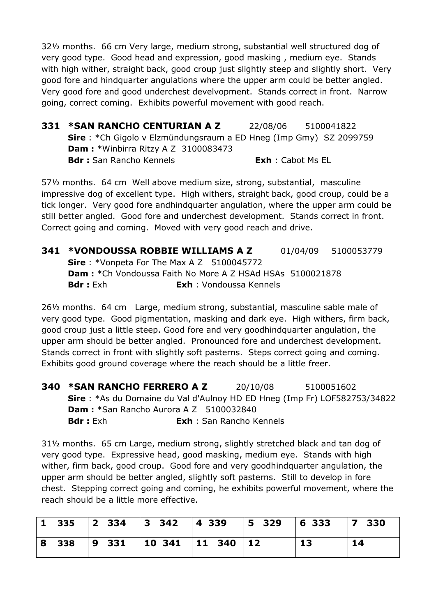32½ months. 66 cm Very large, medium strong, substantial well structured dog of very good type. Good head and expression, good masking , medium eye. Stands with high wither, straight back, good croup just slightly steep and slightly short. Very good fore and hindquarter angulations where the upper arm could be better angled. Very good fore and good underchest develvopment. Stands correct in front. Narrow going, correct coming. Exhibits powerful movement with good reach.

**331 \*SAN RANCHO CENTURIAN A Z** 22/08/06 5100041822 **Sire** : \*Ch Gigolo v Elzmündungsraum a ED Hneg (Imp Gmy) SZ 2099759 **Dam :** \*Winbirra Ritzy A Z 3100083473 **Bdr :** San Rancho Kennels **Exh** : Cabot Ms EL

57½ months. 64 cm Well above medium size, strong, substantial, masculine impressive dog of excellent type. High withers, straight back, good croup, could be a tick longer. Very good fore andhindquarter angulation, where the upper arm could be still better angled. Good fore and underchest development. Stands correct in front. Correct going and coming. Moved with very good reach and drive.

**341 \*VONDOUSSA ROBBIE WILLIAMS A Z** 01/04/09 5100053779 **Sire** : \*Vonpeta For The Max A Z 5100045772 **Dam :** \*Ch Vondoussa Faith No More A Z HSAd HSAs 5100021878 **Bdr :** Exh **Exh** : Vondoussa Kennels

26½ months. 64 cm Large, medium strong, substantial, masculine sable male of very good type. Good pigmentation, masking and dark eye. High withers, firm back, good croup just a little steep. Good fore and very goodhindquarter angulation, the upper arm should be better angled. Pronounced fore and underchest development. Stands correct in front with slightly soft pasterns. Steps correct going and coming. Exhibits good ground coverage where the reach should be a little freer.

| 340 *SAN RANCHO FERRERO A Z                                              | 20/10/08                        | 5100051602 |  |
|--------------------------------------------------------------------------|---------------------------------|------------|--|
| Sire: *As du Domaine du Val d'Aulnoy HD ED Hneg (Imp Fr) LOF582753/34822 |                                 |            |  |
| <b>Dam:</b> *San Rancho Aurora A Z 5100032840                            |                                 |            |  |
| <b>Bdr</b> : Exh                                                         | <b>Exh</b> : San Rancho Kennels |            |  |

31½ months. 65 cm Large, medium strong, slightly stretched black and tan dog of very good type. Expressive head, good masking, medium eye. Stands with high wither, firm back, good croup. Good fore and very goodhindquarter angulation, the upper arm should be better angled, slightly soft pasterns. Still to develop in fore chest. Stepping correct going and coming, he exhibits powerful movement, where the reach should be a little more effective.

|  | 1 335  2 334  3 342  4 339  5 329  6 333  7 330 |  |                 |    |
|--|-------------------------------------------------|--|-----------------|----|
|  | 8 338   9 331   10 341   11 340   12            |  | $^{\dagger}$ 13 | 14 |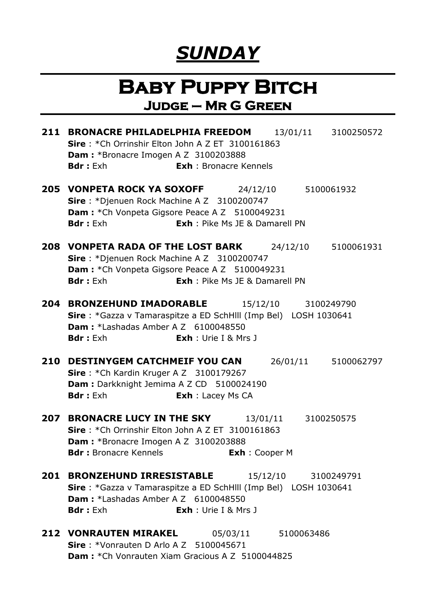## *SUNDAY*

#### **Baby Puppy Bitch Judge – Mr G Green**

**211 BRONACRE PHILADELPHIA FREEDOM** 13/01/11 3100250572 **Sire** : \*Ch Orrinshir Elton John A Z ET 3100161863 **Dam :** \*Bronacre Imogen A Z 3100203888 **Bdr :** Exh **Exh** : Bronacre Kennels **205 VONPETA ROCK YA SOXOFF** 24/12/10 5100061932 **Sire** : \*Djenuen Rock Machine A Z 3100200747 **Dam : \*Ch Vonpeta Gigsore Peace A Z 5100049231 Bdr :** Exh **Exh** : Pike Ms JE & Damarell PN **208 VONPETA RADA OF THE LOST BARK** 24/12/10 5100061931 **Sire** : \*Djenuen Rock Machine A Z 3100200747 **Dam : \*Ch Vonpeta Gigsore Peace A Z 5100049231 Bdr :** Exh **Exh** : Pike Ms JE & Damarell PN **204 BRONZEHUND IMADORABLE** 15/12/10 3100249790 **Sire** : \*Gazza v Tamaraspitze a ED SchHlll (Imp Bel) LOSH 1030641 **Dam:** *\**Lashadas Amber A Z 6100048550 **Bdr :** Exh **Exh** : Urie I & Mrs J **210 DESTINYGEM CATCHMEIF YOU CAN** 26/01/11 5100062797 **Sire** : \*Ch Kardin Kruger A Z 3100179267 **Dam : Darkknight Jemima A Z CD 5100024190 Bdr :** Exh **Exh** : Lacey Ms CA **207 BRONACRE LUCY IN THE SKY** 13/01/11 3100250575 **Sire** : \*Ch Orrinshir Elton John A Z ET 3100161863 **Dam :** \*Bronacre Imogen A Z 3100203888 **Bdr :** Bronacre Kennels<br> **Exh** : Cooper M **201 BRONZEHUND IRRESISTABLE** 15/12/10 3100249791 **Sire** : \*Gazza v Tamaraspitze a ED SchHlll (Imp Bel) LOSH 1030641 **Dam :** \*Lashadas Amber A Z 6100048550 **Bdr :** Exh **Exh** : Urie I & Mrs J **212 VONRAUTEN MIRAKEL** 05/03/11 5100063486 **Sire** : \*Vonrauten D Arlo A Z 5100045671 **Dam :** \*Ch Vonrauten Xiam Gracious A Z 5100044825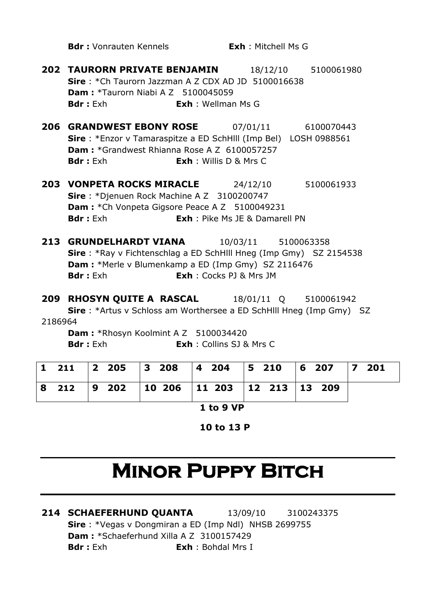**Bdr :** Vonrauten Kennels<br> **Exh** : Mitchell Ms G

- **202 TAURORN PRIVATE BENJAMIN** 18/12/10 5100061980 **Sire** : \*Ch Taurorn Jazzman A Z CDX AD JD 5100016638 **Dam :** \*Taurorn Niabi A Z 5100045059 **Bdr :** Exh **Exh** : Wellman Ms G
- **206 GRANDWEST EBONY ROSE** 07/01/11 6100070443 **Sire** : \*Enzor v Tamaraspitze a ED SchHlll (Imp Bel) LOSH 0988561 **Dam :** \*Grandwest Rhianna Rose A Z 6100057257 **Bdr :** Exh **Exh** : Willis D & Mrs C
- **203 VONPETA ROCKS MIRACLE** 24/12/10 5100061933 **Sire** : \*Djenuen Rock Machine A Z 3100200747 **Dam : \*Ch Vonpeta Gigsore Peace A Z 5100049231 Bdr :** Exh **Exh** : Pike Ms JE & Damarell PN
- **213 GRUNDELHARDT VIANA** 10/03/11 5100063358 **Sire** : \*Ray v Fichtenschlag a ED SchHlll Hneg (Imp Gmy) SZ 2154538 **Dam :** \*Merle v Blumenkamp a ED (Imp Gmy) SZ 2116476 **Bdr :** Exh **Exh** : Cocks PJ & Mrs JM

**209 RHOSYN QUITE A RASCAL** 18/01/11 Q 5100061942 **Sire** : \*Artus v Schloss am Worthersee a ED SchHlll Hneg (Imp Gmy) SZ 2186964 **Dam :** \*Rhosyn Koolmint A Z 5100034420

**Bdr :** Exh **Exh** : Collins SJ & Mrs C

|  |                                         |  | 1 211 2 205 3 208 4 204 5 210 6 207 7 201 |  |
|--|-----------------------------------------|--|-------------------------------------------|--|
|  | 8 212 9 202 10 206 11 203 12 213 13 209 |  |                                           |  |

**1 to 9 VP**

**10 to 13 P**

# **MINOR PUPPY BITCH**

**214 SCHAEFERHUND QUANTA** 13/09/10 3100243375 **Sire** : \*Vegas v Dongmiran a ED (Imp Ndl) NHSB 2699755 **Dam :** \*Schaeferhund Xilla A Z 3100157429 **Bdr :** Exh **Exh** : Bohdal Mrs I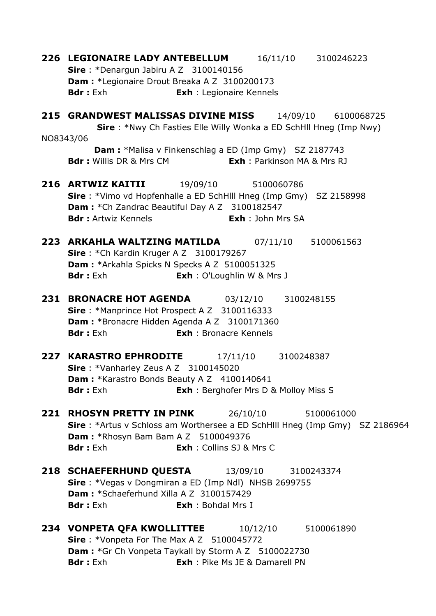**226 LEGIONAIRE LADY ANTEBELLUM** 16/11/10 3100246223 **Sire** : \*Denargun Jabiru A Z 3100140156 **Dam :** \*Legionaire Drout Breaka A Z 3100200173 **Bdr :** Exh **Exh** : Legionaire Kennels **215 GRANDWEST MALISSAS DIVINE MISS** 14/09/10 6100068725 **Sire** : \*Nwy Ch Fasties Elle Willy Wonka a ED SchHll Hneg (Imp Nwy) NO8343/06 **Dam :** \*Malisa v Finkenschlag a ED (Imp Gmy) SZ 2187743 **Bdr :** Willis DR & Mrs CM **Exh** : Parkinson MA & Mrs RJ **216 ARTWIZ KAITII** 19/09/10 5100060786 **Sire** : \*Vimo vd Hopfenhalle a ED SchHlll Hneg (Imp Gmy) SZ 2158998 **Dam :** \*Ch Zandrac Beautiful Day A Z 3100182547 **Bdr :** Artwiz Kennels **Exh** : John Mrs SA **223 ARKAHLA WALTZING MATILDA** 07/11/10 5100061563 **Sire** : \*Ch Kardin Kruger A Z 3100179267 **Dam :** \*Arkahla Spicks N Specks A Z 5100051325 **Bdr** : Exh **Exh** : O'Loughlin W & Mrs J **231 BRONACRE HOT AGENDA** 03/12/10 3100248155 **Sire** : \*Manprince Hot Prospect A Z 3100116333 **Dam :** \*Bronacre Hidden Agenda A Z 3100171360 **Bdr :** Exh **Exh** : Bronacre Kennels **227 KARASTRO EPHRODITE** 17/11/10 3100248387 **Sire** : \*Vanharley Zeus A Z 3100145020 **Dam : \***Karastro Bonds Beauty A Z 4100140641 **Bdr :** Exh **Exh** : Berghofer Mrs D & Molloy Miss S **221 RHOSYN PRETTY IN PINK** 26/10/10 5100061000 **Sire** : \*Artus v Schloss am Worthersee a ED SchHlll Hneg (Imp Gmy) SZ 2186964 **Dam :** \*Rhosyn Bam Bam A Z 5100049376 **Bdr :** Exh **Exh** : Collins SJ & Mrs C **218 SCHAEFERHUND QUESTA** 13/09/10 3100243374 **Sire** : \*Vegas v Dongmiran a ED (Imp Ndl) NHSB 2699755 **Dam :** \*Schaeferhund Xilla A Z 3100157429 **Bdr :** Exh **Exh** : Bohdal Mrs I **234 VONPETA QFA KWOLLITTEE** 10/12/10 5100061890 **Sire** : \*Vonpeta For The Max A Z 5100045772 **Dam : \***Gr Ch Vonpeta Taykall by Storm A Z 5100022730 **Bdr :** Exh **Exh** : Pike Ms JE & Damarell PN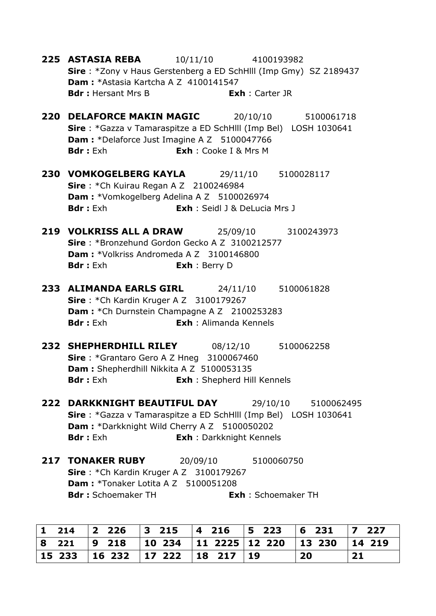- **225 ASTASIA REBA** 10/11/10 4100193982 **Sire** : \*Zony v Haus Gerstenberg a ED SchHlll (Imp Gmy) SZ 2189437 **Dam :** \*Astasia Kartcha A Z 4100141547 **Bdr :** Hersant Mrs B **Exh** : Carter JR
- **220 DELAFORCE MAKIN MAGIC** 20/10/10 5100061718 **Sire** : \*Gazza v Tamaraspitze a ED SchHlll (Imp Bel) LOSH 1030641 **Dam :** \*Delaforce Just Imagine A Z 5100047766 **Bdr :** Exh **Exh** : Cooke I & Mrs M
- **230 VOMKOGELBERG KAYLA** 29/11/10 5100028117 **Sire** : \*Ch Kuirau Regan A Z 2100246984 **Dam :** \*Vomkogelberg Adelina A Z 5100026974 **Bdr :** Exh **Exh** : Seidl J & DeLucia Mrs J
- **219 VOLKRISS ALL A DRAW** 25/09/10 3100243973 **Sire** : \*Bronzehund Gordon Gecko A Z 3100212577 **Dam :** \*Volkriss Andromeda A Z 3100146800 **Bdr :** Exh **Exh** : Berry D
- **233 ALIMANDA EARLS GIRL** 24/11/10 5100061828 **Sire** : \*Ch Kardin Kruger A Z 3100179267 **Dam : \*Ch Durnstein Champagne A Z 2100253283 Bdr :** Exh **Exh** : Alimanda Kennels
- **232 SHEPHERDHILL RILEY** 08/12/10 5100062258 **Sire** : \*Grantaro Gero A Z Hneg 3100067460 **Dam :** Shepherdhill Nikkita A Z 5100053135 **Bdr :** Exh **Exh** : Shepherd Hill Kennels
- **222 DARKKNIGHT BEAUTIFUL DAY** 29/10/10 5100062495 **Sire** : \*Gazza v Tamaraspitze a ED SchHlll (Imp Bel) LOSH 1030641 **Dam :** \*Darkknight Wild Cherry A Z 5100050202 **Bdr :** Exh **Exh** : Darkknight Kennels
- **217 TONAKER RUBY** 20/09/10 5100060750 **Sire** : \*Ch Kardin Kruger A Z 3100179267 **Dam : \*Tonaker Lotita A Z 5100051208 Bdr :** Schoemaker TH **Exh** : Schoemaker TH

|       | 1 214 2 226 3 215 4 216 5 223          |                                             | $ 6 \t231$ | $\sqrt{7}$ 227 |
|-------|----------------------------------------|---------------------------------------------|------------|----------------|
| 8 221 | $\vert 9 \vert 218$                    | 10 234   11 2225   12 220   13 230   14 219 |            |                |
|       | 15 233   16 232   17 222   18 217   19 |                                             | <b>20</b>  | 21             |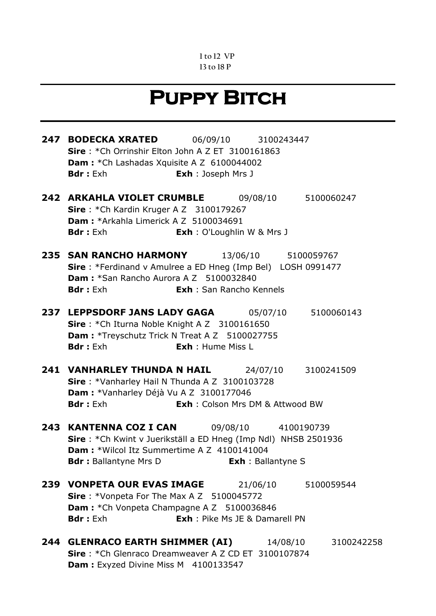#### **1 to 12 VP 13 to 18 P**

## **Puppy Bitch**

**247 BODECKA XRATED** 06/09/10 3100243447 **Sire** : \*Ch Orrinshir Elton John A Z ET 3100161863 **Dam :** \*Ch Lashadas Xquisite A Z 6100044002 **Bdr :** Exh **Exh** : Joseph Mrs J **242 ARKAHLA VIOLET CRUMBLE** 09/08/10 5100060247 **Sire** : \*Ch Kardin Kruger A Z 3100179267 **Dam :** \*Arkahla Limerick A Z 5100034691 **Bdr :** Exh **Exh** : O'Loughlin W & Mrs J **235 SAN RANCHO HARMONY** 13/06/10 5100059767 **Sire** : \*Ferdinand v Amulree a ED Hneg (Imp Bel) LOSH 0991477 **Dam :** \*San Rancho Aurora A Z 5100032840 **Bdr :** Exh **Exh** : San Rancho Kennels **237 LEPPSDORF JANS LADY GAGA** 05/07/10 5100060143 **Sire** : \*Ch Iturna Noble Knight A Z 3100161650 **Dam : \*Treyschutz Trick N Treat A Z 5100027755 Bdr :** Exh **Exh** : Hume Miss L **241 VANHARLEY THUNDA N HAIL** 24/07/10 3100241509 **Sire** : \*Vanharley Hail N Thunda A Z 3100103728 **Dam :** \*Vanharley Déjà Vu A Z 3100177046 **Bdr :** Exh **Exh** : Colson Mrs DM & Attwood BW **243 KANTENNA COZ I CAN** 09/08/10 4100190739 **Sire** : \*Ch Kwint v Juerikställ a ED Hneg (Imp Ndl) NHSB 2501936 **Dam :** \*Wilcol Itz Summertime A Z 4100141004 **Bdr :** Ballantyne Mrs D **Exh** : Ballantyne S **239 VONPETA OUR EVAS IMAGE** 21/06/10 5100059544 **Sire** : \*Vonpeta For The Max A Z 5100045772 **Dam : \*Ch Vonpeta Champagne A Z 5100036846 Bdr :** Exh **Exh** : Pike Ms JE & Damarell PN **244 GLENRACO EARTH SHIMMER (AI)** 14/08/10 3100242258 **Sire** : \*Ch Glenraco Dreamweaver A Z CD ET 3100107874

**Dam :** Exyzed Divine Miss M 4100133547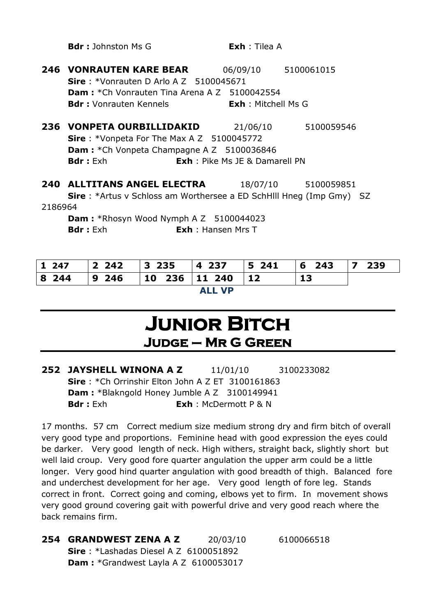**246 VONRAUTEN KARE BEAR** 06/09/10 5100061015 **Sire** : \*Vonrauten D Arlo A Z 5100045671 **Dam :** \*Ch Vonrauten Tina Arena A Z 5100042554 **Bdr :** Vonrauten Kennels<br> **Exh** : Mitchell Ms G **236 VONPETA OURBILLIDAKID** 21/06/10 5100059546 **Sire** : \*Vonpeta For The Max A Z 5100045772 **Dam :** \*Ch Vonpeta Champagne A Z 5100036846 **Bdr :** Exh **Exh** : Pike Ms JE & Damarell PN **240 ALLTITANS ANGEL ELECTRA** 18/07/10 5100059851 **Sire** : \*Artus v Schloss am Worthersee a ED SchHlll Hneg (Imp Gmy) SZ 2186964 **Dam :** \*Rhosyn Wood Nymph A Z 5100044023 **Bdr** : Exh : **Exh** : Hansen Mrs T

**Bdr :** Johnston Ms G **Exh** : Tilea A

| 1 247  |  | 2 242   3 235   4 237   5 241   6 243   7 239 |  |  |  |  |  |  |  |
|--------|--|-----------------------------------------------|--|--|--|--|--|--|--|
|        |  | 8 244   9 246   10 236   11 240   12          |  |  |  |  |  |  |  |
| ALL VD |  |                                               |  |  |  |  |  |  |  |

**ALL VP**

#### **Junior Bitch Judge – Mr G Green**

**252 JAYSHELL WINONA A Z** 11/01/10 3100233082 **Sire** : \*Ch Orrinshir Elton John A Z ET 3100161863 **Dam :** \*Blakngold Honey Jumble A Z 3100149941 **Bdr :** Exh **Exh** : McDermott P & N

17 months. 57 cm Correct medium size medium strong dry and firm bitch of overall very good type and proportions. Feminine head with good expression the eyes could be darker. Very good length of neck. High withers, straight back, slightly short but well laid croup. Very good fore quarter angulation the upper arm could be a little longer. Very good hind quarter angulation with good breadth of thigh. Balanced fore and underchest development for her age. Very good length of fore leg. Stands correct in front. Correct going and coming, elbows yet to firm. In movement shows very good ground covering gait with powerful drive and very good reach where the back remains firm.

**254 GRANDWEST ZENA A Z** 20/03/10 6100066518 **Sire** : \*Lashadas Diesel A Z 6100051892 **Dam :** \*Grandwest Layla A Z 6100053017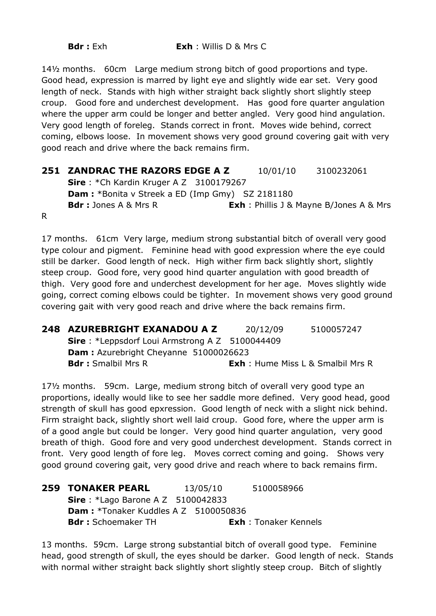14½ months. 60cm Large medium strong bitch of good proportions and type. Good head, expression is marred by light eye and slightly wide ear set. Very good length of neck. Stands with high wither straight back slightly short slightly steep croup. Good fore and underchest development. Has good fore quarter angulation where the upper arm could be longer and better angled. Very good hind angulation. Very good length of foreleg. Stands correct in front. Moves wide behind, correct coming, elbows loose. In movement shows very good ground covering gait with very good reach and drive where the back remains firm.

#### **251 ZANDRAC THE RAZORS EDGE A Z** 10/01/10 3100232061 **Sire** : \*Ch Kardin Kruger A Z 3100179267 **Dam :** \*Bonita v Streek a ED (Imp Gmy) SZ 2181180 **Bdr :** Jones A & Mrs R **Exh** : Phillis J & Mayne B/Jones A & Mrs

R

17 months. 61cm Very large, medium strong substantial bitch of overall very good type colour and pigment. Feminine head with good expression where the eye could still be darker. Good length of neck. High wither firm back slightly short, slightly steep croup. Good fore, very good hind quarter angulation with good breadth of thigh. Very good fore and underchest development for her age. Moves slightly wide going, correct coming elbows could be tighter. In movement shows very good ground covering gait with very good reach and drive where the back remains firm.

**248 AZUREBRIGHT EXANADOU A Z** 20/12/09 5100057247 **Sire** : \*Leppsdorf Loui Armstrong A Z 5100044409 **Dam :** Azurebright Cheyanne 51000026623 **Bdr :** Smalbil Mrs R **Exh** : Hume Miss L & Smalbil Mrs R

17½ months. 59cm. Large, medium strong bitch of overall very good type an proportions, ideally would like to see her saddle more defined. Very good head, good strength of skull has good epxression. Good length of neck with a slight nick behind. Firm straight back, slightly short well laid croup. Good fore, where the upper arm is of a good angle but could be longer. Very good hind quarter angulation, very good breath of thigh. Good fore and very good underchest development. Stands correct in front. Very good length of fore leg. Moves correct coming and going. Shows very good ground covering gait, very good drive and reach where to back remains firm.

| <b>259 TONAKER PEARL</b>                    | 13/05/10 | 5100058966                  |
|---------------------------------------------|----------|-----------------------------|
| <b>Sire</b> : *Lago Barone A Z $5100042833$ |          |                             |
| <b>Dam:</b> *Tonaker Kuddles A Z 5100050836 |          |                             |
| <b>Bdr:</b> Schoemaker TH                   |          | <b>Exh:</b> Tonaker Kennels |

13 months. 59cm. Large strong substantial bitch of overall good type. Feminine head, good strength of skull, the eyes should be darker. Good length of neck. Stands with normal wither straight back slightly short slightly steep croup. Bitch of slightly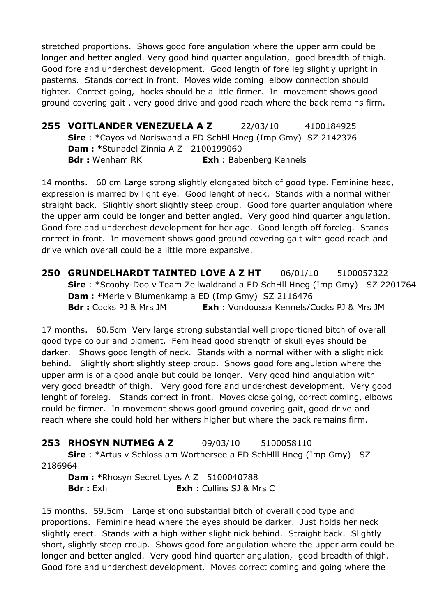stretched proportions. Shows good fore angulation where the upper arm could be longer and better angled. Very good hind quarter angulation, good breadth of thigh. Good fore and underchest development. Good length of fore leg slightly upright in pasterns. Stands correct in front. Moves wide coming elbow connection should tighter. Correct going, hocks should be a little firmer. In movement shows good ground covering gait , very good drive and good reach where the back remains firm.

**255 VOITLANDER VENEZUELA A Z** 22/03/10 4100184925 **Sire** : \*Cayos vd Noriswand a ED SchHl Hneg (Imp Gmy) SZ 2142376 **Dam :** \*Stunadel Zinnia A Z 2100199060 **Bdr :** Wenham RK **Exh** : Babenberg Kennels

14 months. 60 cm Large strong slightly elongated bitch of good type. Feminine head, expression is marred by light eye. Good lenght of neck. Stands with a normal wither straight back. Slightly short slightly steep croup. Good fore quarter angulation where the upper arm could be longer and better angled. Very good hind quarter angulation. Good fore and underchest development for her age. Good length off foreleg. Stands correct in front. In movement shows good ground covering gait with good reach and drive which overall could be a little more expansive.

**250 GRUNDELHARDT TAINTED LOVE A Z HT** 06/01/10 5100057322 **Sire** : \*Scooby-Doo v Team Zellwaldrand a ED SchHll Hneg (Imp Gmy) SZ 2201764 **Dam :** \*Merle v Blumenkamp a ED (Imp Gmy) SZ 2116476 **Bdr :** Cocks PJ & Mrs JM **Exh** : Vondoussa Kennels/Cocks PJ & Mrs JM

17 months. 60.5cm Very large strong substantial well proportioned bitch of overall good type colour and pigment. Fem head good strength of skull eyes should be darker. Shows good length of neck. Stands with a normal wither with a slight nick behind. Slightly short slightly steep croup. Shows good fore angulation where the upper arm is of a good angle but could be longer. Very good hind angulation with very good breadth of thigh. Very good fore and underchest development. Very good lenght of foreleg. Stands correct in front. Moves close going, correct coming, elbows could be firmer. In movement shows good ground covering gait, good drive and reach where she could hold her withers higher but where the back remains firm.

**253 RHOSYN NUTMEG A Z** 09/03/10 5100058110 **Sire** : \*Artus v Schloss am Worthersee a ED SchHlll Hneg (Imp Gmy) SZ 2186964

**Dam: \*Rhosyn Secret Lyes A Z 5100040788 Bdr :** Exh **Exh** : Collins SJ & Mrs C

15 months. 59.5cm Large strong substantial bitch of overall good type and proportions. Feminine head where the eyes should be darker. Just holds her neck slightly erect. Stands with a high wither slight nick behind. Straight back. Slightly short, slightly steep croup. Shows good fore angulation where the upper arm could be longer and better angled. Very good hind quarter angulation, good breadth of thigh. Good fore and underchest development. Moves correct coming and going where the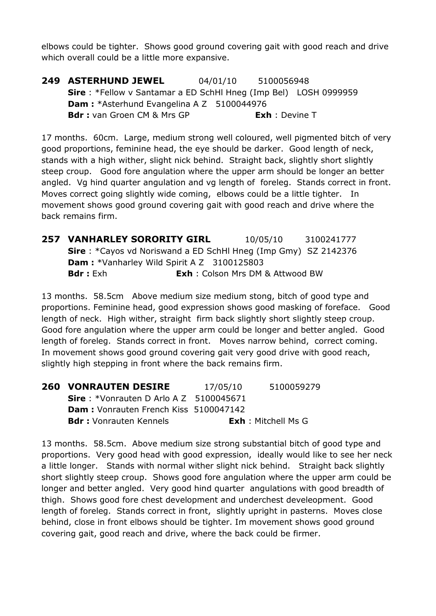elbows could be tighter. Shows good ground covering gait with good reach and drive which overall could be a little more expansive.

**249 ASTERHUND JEWEL** 04/01/10 5100056948 **Sire** : \*Fellow v Santamar a ED SchHl Hneg (Imp Bel) LOSH 0999959 **Dam : \***Asterhund Evangelina A Z 5100044976 **Bdr :** van Groen CM & Mrs GP **Exh** : Devine T

17 months. 60cm. Large, medium strong well coloured, well pigmented bitch of very good proportions, feminine head, the eye should be darker. Good length of neck, stands with a high wither, slight nick behind. Straight back, slightly short slightly steep croup. Good fore angulation where the upper arm should be longer an better angled. Vg hind quarter angulation and vg length of foreleg. Stands correct in front. Moves correct going slightly wide coming, elbows could be a little tighter. In movement shows good ground covering gait with good reach and drive where the back remains firm.

**257 VANHARLEY SORORITY GIRL** 10/05/10 3100241777 **Sire** : \*Cayos vd Noriswand a ED SchHl Hneg (Imp Gmy) SZ 2142376 **Dam :** \*Vanharley Wild Spirit A Z 3100125803 **Bdr :** Exh **Exh** : Colson Mrs DM & Attwood BW

13 months. 58.5cm Above medium size medium stong, bitch of good type and proportions. Feminine head, good expression shows good masking of foreface. Good length of neck. High wither, straight firm back slightly short slightly steep croup. Good fore angulation where the upper arm could be longer and better angled. Good length of foreleg. Stands correct in front. Moves narrow behind, correct coming. In movement shows good ground covering gait very good drive with good reach, slightly high stepping in front where the back remains firm.

| <b>260 VONRAUTEN DESIRE</b>                      | 17/05/10 | 5100059279                 |
|--------------------------------------------------|----------|----------------------------|
| <b>Sire</b> : *Vonrauten D Arlo A Z $5100045671$ |          |                            |
| Dam: Vonrauten French Kiss 5100047142            |          |                            |
| <b>Bdr:</b> Vonrauten Kennels                    |          | <b>Exh</b> : Mitchell Ms G |

13 months. 58.5cm. Above medium size strong substantial bitch of good type and proportions. Very good head with good expression, ideally would like to see her neck a little longer. Stands with normal wither slight nick behind. Straight back slightly short slightly steep croup. Shows good fore angulation where the upper arm could be longer and better angled. Very good hind quarter angulations with good breadth of thigh. Shows good fore chest development and underchest develeopment. Good length of foreleg. Stands correct in front, slightly upright in pasterns. Moves close behind, close in front elbows should be tighter. Im movement shows good ground covering gait, good reach and drive, where the back could be firmer.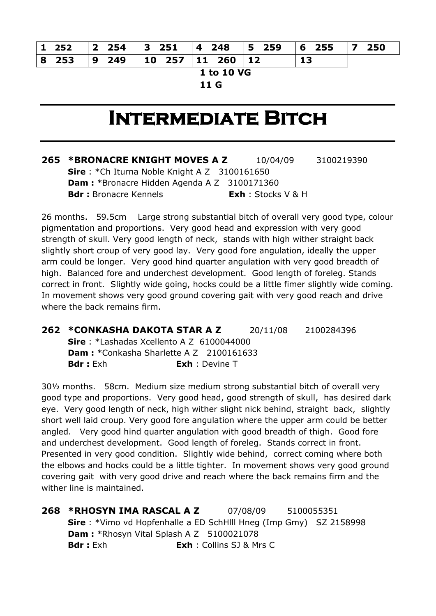|            |  |  | 8 253   9 249   10 257   11 260   12 |  |  |  |  |  |  |  |  |  |
|------------|--|--|--------------------------------------|--|--|--|--|--|--|--|--|--|
| __________ |  |  |                                      |  |  |  |  |  |  |  |  |  |

**1 to 10 VG**

**11 G**

### **Intermediate Bitch**

**265 \*BRONACRE KNIGHT MOVES A Z** 10/04/09 3100219390 **Sire** : \*Ch Iturna Noble Knight A Z 3100161650 **Dam :** \*Bronacre Hidden Agenda A Z 3100171360 **Bdr :** Bronacre Kennels **Exh** : Stocks V & H

26 months. 59.5cm Large strong substantial bitch of overall very good type, colour pigmentation and proportions. Very good head and expression with very good strength of skull. Very good length of neck, stands with high wither straight back slightly short croup of very good lay. Very good fore angulation, ideally the upper arm could be longer. Very good hind quarter angulation with very good breadth of high. Balanced fore and underchest development. Good length of foreleg. Stands correct in front. Slightly wide going, hocks could be a little fimer slightly wide coming. In movement shows very good ground covering gait with very good reach and drive where the back remains firm.

**262 \*CONKASHA DAKOTA STAR A Z** 20/11/08 2100284396 **Sire** : \*Lashadas Xcellento A Z 6100044000 **Dam : \***Conkasha Sharlette A Z 2100161633 **Bdr :** Exh **Exh** : Devine T

30½ months. 58cm. Medium size medium strong substantial bitch of overall very good type and proportions. Very good head, good strength of skull, has desired dark eye. Very good length of neck, high wither slight nick behind, straight back, slightly short well laid croup. Very good fore angulation where the upper arm could be better angled. Very good hind quarter angulation with good breadth of thigh. Good fore and underchest development. Good length of foreleg. Stands correct in front. Presented in very good condition. Slightly wide behind, correct coming where both the elbows and hocks could be a little tighter. In movement shows very good ground covering gait with very good drive and reach where the back remains firm and the wither line is maintained.

**268 \*RHOSYN IMA RASCAL A Z** 07/08/09 5100055351 **Sire** : \*Vimo vd Hopfenhalle a ED SchHlll Hneg (Imp Gmy) SZ 2158998 **Dam : \*Rhosyn Vital Splash A Z 5100021078 Bdr :** Exh **Exh** : Collins SJ & Mrs C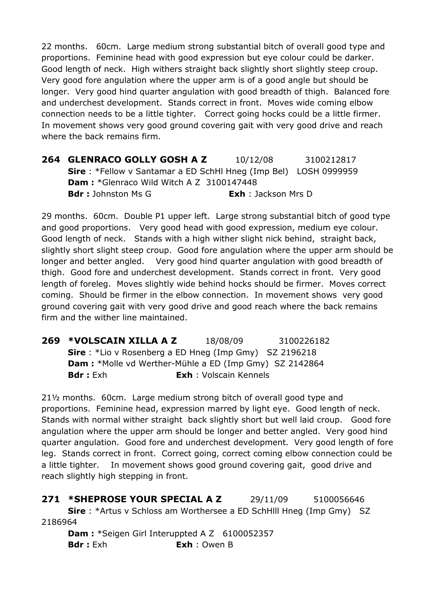22 months. 60cm. Large medium strong substantial bitch of overall good type and proportions. Feminine head with good expression but eye colour could be darker. Good length of neck. High withers straight back slightly short slightly steep croup. Very good fore angulation where the upper arm is of a good angle but should be longer. Very good hind quarter angulation with good breadth of thigh. Balanced fore and underchest development. Stands correct in front. Moves wide coming elbow connection needs to be a little tighter. Correct going hocks could be a little firmer. In movement shows very good ground covering gait with very good drive and reach where the back remains firm.

**264 GLENRACO GOLLY GOSH A Z** 10/12/08 3100212817 **Sire** : \*Fellow v Santamar a ED SchHl Hneg (Imp Bel) LOSH 0999959 **Dam :** \*Glenraco Wild Witch A Z 3100147448 **Bdr :** Johnston Ms G **Exh** : Jackson Mrs D

29 months. 60cm. Double P1 upper left. Large strong substantial bitch of good type and good proportions. Very good head with good expression, medium eye colour. Good length of neck. Stands with a high wither slight nick behind, straight back, slightly short slight steep croup. Good fore angulation where the upper arm should be longer and better angled. Very good hind quarter angulation with good breadth of thigh. Good fore and underchest development. Stands correct in front. Very good length of foreleg. Moves slightly wide behind hocks should be firmer. Moves correct coming. Should be firmer in the elbow connection. In movement shows very good ground covering gait with very good drive and good reach where the back remains firm and the wither line maintained.

**269 \*VOLSCAIN XILLA A Z** 18/08/09 3100226182 **Sire** : \*Lio v Rosenberg a ED Hneg (Imp Gmy) SZ 2196218 **Dam :** \*Molle vd Werther-Mühle a ED (Imp Gmy) SZ 2142864 **Bdr :** Exh **Exh** : Volscain Kennels

21½ months. 60cm. Large medium strong bitch of overall good type and proportions. Feminine head, expression marred by light eye. Good length of neck. Stands with normal wither straight back slightly short but well laid croup. Good fore angulation where the upper arm should be longer and better angled. Very good hind quarter angulation. Good fore and underchest development. Very good length of fore leg. Stands correct in front. Correct going, correct coming elbow connection could be a little tighter. In movement shows good ground covering gait, good drive and reach slightly high stepping in front.

**271 \*SHEPROSE YOUR SPECIAL A Z** 29/11/09 5100056646 **Sire** : \*Artus v Schloss am Worthersee a ED SchHlll Hneg (Imp Gmy) SZ 2186964 **Dam : \*Seigen Girl Interuppted A Z 6100052357** 

**Bdr :** Exh **Exh** : Owen B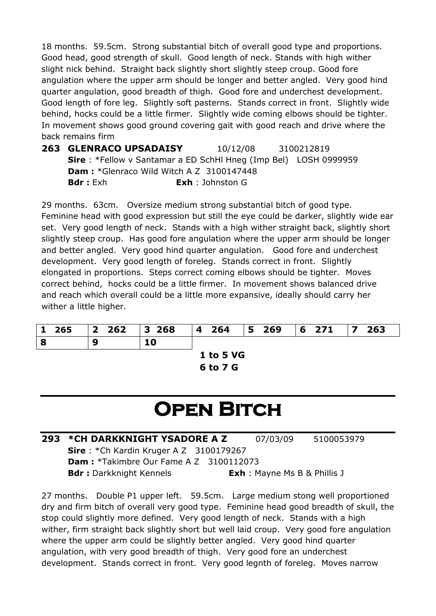18 months. 59.5cm. Strong substantial bitch of overall good type and proportions. Good head, good strength of skull. Good length of neck. Stands with high wither slight nick behind. Straight back slightly short slightly steep croup. Good fore angulation where the upper arm should be longer and better angled. Very good hind quarter angulation, good breadth of thigh. Good fore and underchest development. Good length of fore leg. Slightly soft pasterns. Stands correct in front. Slightly wide behind, hocks could be a little firmer. Slightly wide coming elbows should be tighter. In movement shows good ground covering gait with good reach and drive where the back remains firm

**263 GLENRACO UPSADAISY** 10/12/08 3100212819 **Sire** : \*Fellow v Santamar a ED SchHl Hneg (Imp Bel) LOSH 0999959 **Dam :** \*Glenraco Wild Witch A Z 3100147448 **Bdr :** Exh **Exh** : Johnston G

29 months. 63cm. Oversize medium strong substantial bitch of good type. Feminine head with good expression but still the eye could be darker, slightly wide ear set. Very good length of neck. Stands with a high wither straight back, slightly short slightly steep croup. Has good fore angulation where the upper arm should be longer and better angled. Very good hind quarter angulation. Good fore and underchest development. Very good length of foreleg. Stands correct in front. Slightly elongated in proportions. Steps correct coming elbows should be tighter. Moves correct behind, hocks could be a little firmer. In movement shows balanced drive and reach which overall could be a little more expansive, ideally should carry her wither a little higher.

| 1 265 | $\begin{array}{c} \n \text{2} \quad \text{262} \\  \end{array}$ | 3 268 | 4 264            | $ 5\>$ 269 | $ 6 \t271$ | $ 7 \t263$ |  |
|-------|-----------------------------------------------------------------|-------|------------------|------------|------------|------------|--|
| 8     |                                                                 | 10    |                  |            |            |            |  |
|       |                                                                 |       | <b>1 to 5 VG</b> |            |            |            |  |
|       |                                                                 |       | 6 to 7 G         |            |            |            |  |

# **Open Bitch**

**293 \*CH DARKKNIGHT YSADORE A Z** 07/03/09 5100053979 **Sire** : \*Ch Kardin Kruger A Z 3100179267 **Dam :** \*Takimbre Our Fame A Z 3100112073 **Bdr :** Darkknight Kennels<br>**Exh** : Mayne Ms B & Phillis J

27 months. Double P1 upper left. 59.5cm. Large medium stong well proportioned dry and firm bitch of overall very good type. Feminine head good breadth of skull, the stop could slightly more defined. Very good length of neck. Stands with a high wither, firm straight back slightly short but well laid croup. Very good fore angulation where the upper arm could be slightly better angled. Very good hind quarter angulation, with very good breadth of thigh. Very good fore an underchest development. Stands correct in front. Very good legnth of foreleg. Moves narrow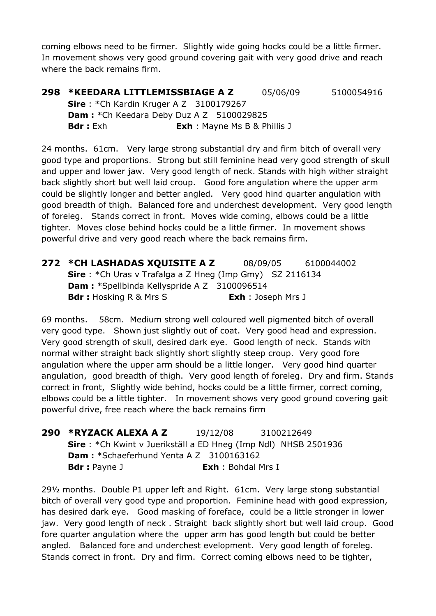coming elbows need to be firmer. Slightly wide going hocks could be a little firmer. In movement shows very good ground covering gait with very good drive and reach where the back remains firm.

**298 \*KEEDARA LITTLEMISSBIAGE A Z** 05/06/09 5100054916 **Sire** : \*Ch Kardin Kruger A Z 3100179267 **Dam : \***Ch Keedara Deby Duz A Z 5100029825 **Bdr :** Exh **Exh** : Mayne Ms B & Phillis J

24 months. 61cm. Very large strong substantial dry and firm bitch of overall very good type and proportions. Strong but still feminine head very good strength of skull and upper and lower jaw. Very good length of neck. Stands with high wither straight back slightly short but well laid croup. Good fore angulation where the upper arm could be slightly longer and better angled. Very good hind quarter angulation with good breadth of thigh. Balanced fore and underchest development. Very good length of foreleg. Stands correct in front. Moves wide coming, elbows could be a little tighter. Moves close behind hocks could be a little firmer. In movement shows powerful drive and very good reach where the back remains firm.

| 272 *CH LASHADAS XQUISITE A Z                                      | 08/09/05                  | 6100044002 |
|--------------------------------------------------------------------|---------------------------|------------|
| <b>Sire</b> : $*$ Ch Uras v Trafalga a Z Hneg (Imp Gmy) SZ 2116134 |                           |            |
| <b>Dam:</b> *Spellbinda Kellyspride A Z 3100096514                 |                           |            |
| <b>Bdr</b> : Hosking R & Mrs S                                     | <b>Exh</b> : Joseph Mrs J |            |

69 months. 58cm. Medium strong well coloured well pigmented bitch of overall very good type. Shown just slightly out of coat. Very good head and expression. Very good strength of skull, desired dark eye. Good length of neck. Stands with normal wither straight back slightly short slightly steep croup. Very good fore angulation where the upper arm should be a little longer. Very good hind quarter angulation, good breadth of thigh. Very good length of foreleg. Dry and firm. Stands correct in front, Slightly wide behind, hocks could be a little firmer, correct coming, elbows could be a little tighter. In movement shows very good ground covering gait powerful drive, free reach where the back remains firm

**290 \*RYZACK ALEXA A Z** 19/12/08 3100212649 **Sire** : \*Ch Kwint v Juerikställ a ED Hneg (Imp Ndl) NHSB 2501936 **Dam :** \*Schaeferhund Yenta A Z 3100163162 **Bdr :** Payne J **Exh** : Bohdal Mrs I

29½ months. Double P1 upper left and Right. 61cm. Very large stong substantial bitch of overall very good type and proportion. Feminine head with good expression, has desired dark eye. Good masking of foreface, could be a little stronger in lower jaw. Very good length of neck . Straight back slightly short but well laid croup. Good fore quarter angulation where the upper arm has good length but could be better angled. Balanced fore and underchest evelopment. Very good length of foreleg. Stands correct in front. Dry and firm. Correct coming elbows need to be tighter,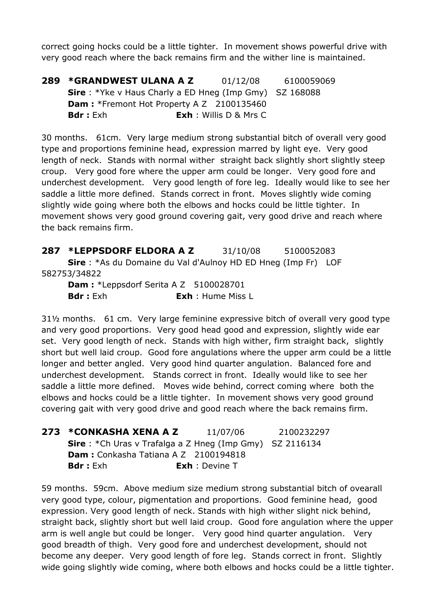correct going hocks could be a little tighter. In movement shows powerful drive with very good reach where the back remains firm and the wither line is maintained.

**289 \*GRANDWEST ULANA A Z** 01/12/08 6100059069 **Sire** : \*Yke v Haus Charly a ED Hneg (Imp Gmy) SZ 168088 **Dam : \*Fremont Hot Property A Z 2100135460 Bdr :** Exh **Exh** : Willis D & Mrs C

30 months. 61cm. Very large medium strong substantial bitch of overall very good type and proportions feminine head, expression marred by light eye. Very good length of neck. Stands with normal wither straight back slightly short slightly steep croup. Very good fore where the upper arm could be longer. Very good fore and underchest development. Very good length of fore leg. Ideally would like to see her saddle a little more defined. Stands correct in front. Moves slightly wide coming slightly wide going where both the elbows and hocks could be little tighter. In movement shows very good ground covering gait, very good drive and reach where the back remains firm.

**287 \*LEPPSDORF ELDORA A Z** 31/10/08 5100052083 **Sire** : \*As du Domaine du Val d'Aulnoy HD ED Hneg (Imp Fr) LOF 582753/34822

**Dam : \*Leppsdorf Serita A Z 5100028701 Bdr :** Exh **Exh** : Hume Miss L

31½ months. 61 cm. Very large feminine expressive bitch of overall very good type and very good proportions. Very good head good and expression, slightly wide ear set. Very good length of neck. Stands with high wither, firm straight back, slightly short but well laid croup. Good fore angulations where the upper arm could be a little longer and better angled. Very good hind quarter angulation. Balanced fore and underchest development. Stands correct in front. Ideally would like to see her saddle a little more defined. Moves wide behind, correct coming where both the elbows and hocks could be a little tighter. In movement shows very good ground covering gait with very good drive and good reach where the back remains firm.

| 273 *CONKASHA XENA A Z                                          | 11/07/06                | 2100232297 |
|-----------------------------------------------------------------|-------------------------|------------|
| <b>Sire</b> : *Ch Uras v Trafalga a Z Hneg (Imp Gmy) SZ 2116134 |                         |            |
| <b>Dam:</b> Conkasha Tatiana A Z 2100194818                     |                         |            |
| <b>Bdr</b> : Exh                                                | <b>Exh</b> : Devine $T$ |            |

59 months. 59cm. Above medium size medium strong substantial bitch of ovearall very good type, colour, pigmentation and proportions. Good feminine head, good expression. Very good length of neck. Stands with high wither slight nick behind, straight back, slightly short but well laid croup. Good fore angulation where the upper arm is well angle but could be longer. Very good hind quarter angulation. Very good breadth of thigh. Very good fore and underchest development, should not become any deeper. Very good length of fore leg. Stands correct in front. Slightly wide going slightly wide coming, where both elbows and hocks could be a little tighter.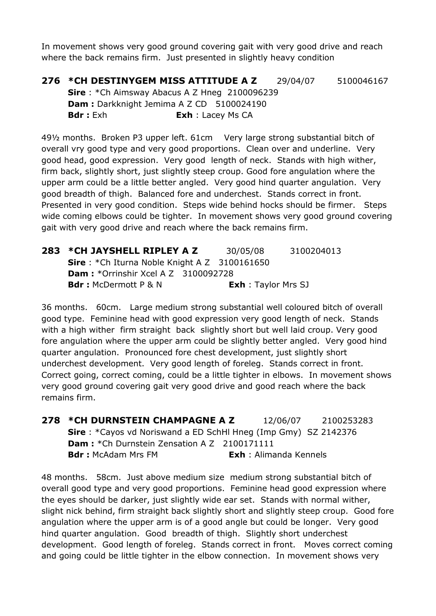In movement shows very good ground covering gait with very good drive and reach where the back remains firm. Just presented in slightly heavy condition

**276 \*CH DESTINYGEM MISS ATTITUDE A Z** 29/04/07 5100046167 **Sire** : \*Ch Aimsway Abacus A Z Hneg 2100096239 **Dam :** Darkknight Jemima A Z CD 5100024190 **Bdr :** Exh **Exh** : Lacey Ms CA

49½ months. Broken P3 upper left. 61cm Very large strong substantial bitch of overall vry good type and very good proportions. Clean over and underline. Very good head, good expression. Very good length of neck. Stands with high wither, firm back, slightly short, just slightly steep croup. Good fore angulation where the upper arm could be a little better angled. Very good hind quarter angulation. Very good breadth of thigh. Balanced fore and underchest. Stands correct in front. Presented in very good condition. Steps wide behind hocks should be firmer. Steps wide coming elbows could be tighter. In movement shows very good ground covering gait with very good drive and reach where the back remains firm.

| 283 *CH JAYSHELL RIPLEY A Z                            | 30/05/08                   | 3100204013 |
|--------------------------------------------------------|----------------------------|------------|
| <b>Sire</b> : *Ch Iturna Noble Knight A $Z$ 3100161650 |                            |            |
| <b>Dam:</b> *Orrinshir Xcel A Z $3100092728$           |                            |            |
| <b>Bdr:</b> McDermott P & N                            | <b>Exh</b> : Taylor Mrs SJ |            |

36 months. 60cm. Large medium strong substantial well coloured bitch of overall good type. Feminine head with good expression very good length of neck. Stands with a high wither firm straight back slightly short but well laid croup. Very good fore angulation where the upper arm could be slightly better angled. Very good hind quarter angulation. Pronounced fore chest development, just slightly short underchest development. Very good length of foreleg. Stands correct in front. Correct going, correct coming, could be a little tighter in elbows. In movement shows very good ground covering gait very good drive and good reach where the back remains firm.

**278 \*CH DURNSTEIN CHAMPAGNE A Z** 12/06/07 2100253283 **Sire** : \*Cayos vd Noriswand a ED SchHl Hneg (Imp Gmy) SZ 2142376 **Dam:** \*Ch Durnstein Zensation A Z 2100171111 **Bdr :** McAdam Mrs FM **Exh** : Alimanda Kennels

48 months. 58cm. Just above medium size medium strong substantial bitch of overall good type and very good proportions. Feminine head good expression where the eyes should be darker, just slightly wide ear set. Stands with normal wither, slight nick behind, firm straight back slightly short and slightly steep croup. Good fore angulation where the upper arm is of a good angle but could be longer. Very good hind quarter angulation. Good breadth of thigh. Slightly short underchest development. Good length of foreleg. Stands correct in front. Moves correct coming and going could be little tighter in the elbow connection. In movement shows very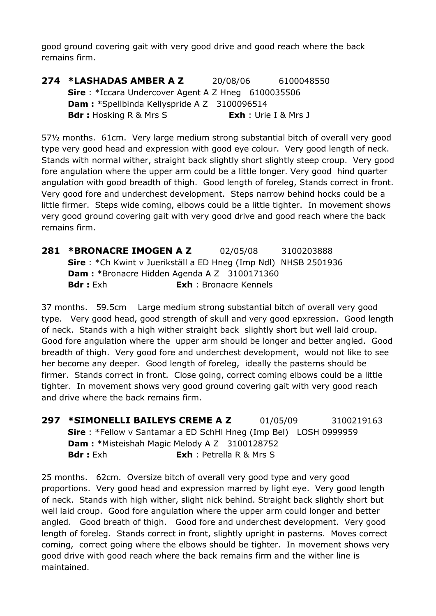good ground covering gait with very good drive and good reach where the back remains firm.

**274 \*LASHADAS AMBER A Z** 20/08/06 6100048550 **Sire** : \*Iccara Undercover Agent A Z Hneg 6100035506 **Dam :** \*Spellbinda Kellyspride A Z 3100096514 **Bdr :** Hosking R & Mrs S **Exh** : Urie I & Mrs J

57½ months. 61cm. Very large medium strong substantial bitch of overall very good type very good head and expression with good eye colour. Very good length of neck. Stands with normal wither, straight back slightly short slightly steep croup. Very good fore angulation where the upper arm could be a little longer. Very good hind quarter angulation with good breadth of thigh. Good length of foreleg, Stands correct in front. Very good fore and underchest development. Steps narrow behind hocks could be a little firmer. Steps wide coming, elbows could be a little tighter. In movement shows very good ground covering gait with very good drive and good reach where the back remains firm.

**281 \*BRONACRE IMOGEN A Z** 02/05/08 3100203888 **Sire** : \*Ch Kwint v Juerikställ a ED Hneg (Imp Ndl) NHSB 2501936 **Dam :** \*Bronacre Hidden Agenda A Z 3100171360 **Bdr :** Exh **Exh** : Bronacre Kennels

37 months. 59.5cm Large medium strong substantial bitch of overall very good type. Very good head, good strength of skull and very good epxression. Good length of neck. Stands with a high wither straight back slightly short but well laid croup. Good fore angulation where the upper arm should be longer and better angled. Good breadth of thigh. Very good fore and underchest development, would not like to see her become any deeper. Good length of foreleg, ideally the pasterns should be firmer. Stands correct in front. Close going, correct coming elbows could be a little tighter. In movement shows very good ground covering gait with very good reach and drive where the back remains firm.

**297 \*SIMONELLI BAILEYS CREME A Z** 01/05/09 3100219163 **Sire** : \*Fellow v Santamar a ED SchHl Hneg (Imp Bel) LOSH 0999959 **Dam :** \*Misteishah Magic Melody A Z 3100128752 **Bdr :** Exh **Exh** : Petrella R & Mrs S

25 months. 62cm. Oversize bitch of overall very good type and very good proportions. Very good head and expression marred by light eye. Very good length of neck. Stands with high wither, slight nick behind. Straight back slightly short but well laid croup. Good fore angulation where the upper arm could longer and better angled. Good breath of thigh. Good fore and underchest development. Very good length of foreleg. Stands correct in front, slightly upright in pasterns. Moves correct coming, correct going where the elbows should be tighter. In movement shows very good drive with good reach where the back remains firm and the wither line is maintained.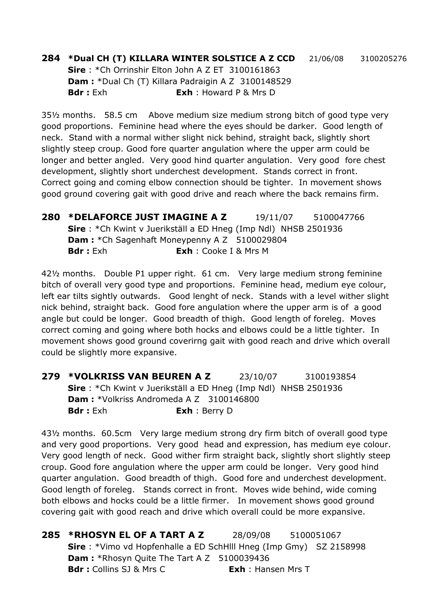#### **284 \*Dual CH (T) KILLARA WINTER SOLSTICE A Z CCD** 21/06/08 3100205276

**Sire** : \*Ch Orrinshir Elton John A Z ET 3100161863 **Dam :** \*Dual Ch (T) Killara Padraigin A Z 3100148529 **Bdr :** Exh **Exh** : Howard P & Mrs D

35½ months. 58.5 cm Above medium size medium strong bitch of good type very good proportions. Feminine head where the eyes should be darker. Good length of neck. Stand with a normal wither slight nick behind, straight back, slightly short slightly steep croup. Good fore quarter angulation where the upper arm could be longer and better angled. Very good hind quarter angulation. Very good fore chest development, slightly short underchest development. Stands correct in front. Correct going and coming elbow connection should be tighter. In movement shows good ground covering gait with good drive and reach where the back remains firm.

**280 \*DELAFORCE JUST IMAGINE A Z** 19/11/07 5100047766 **Sire** : \*Ch Kwint v Juerikställ a ED Hneg (Imp Ndl) NHSB 2501936 **Dam:** \*Ch Sagenhaft Moneypenny A Z 5100029804 **Bdr :** Exh **Exh** : Cooke I & Mrs M

42½ months. Double P1 upper right. 61 cm. Very large medium strong feminine bitch of overall very good type and proportions. Feminine head, medium eye colour, left ear tilts sightly outwards. Good lenght of neck. Stands with a level wither slight nick behind, straight back. Good fore angulation where the upper arm is of a good angle but could be longer. Good breadth of thigh. Good length of foreleg. Moves correct coming and going where both hocks and elbows could be a little tighter. In movement shows good ground coverirng gait with good reach and drive which overall could be slightly more expansive.

**279 \*VOLKRISS VAN BEUREN A Z** 23/10/07 3100193854 **Sire** : \*Ch Kwint v Juerikställ a ED Hneg (Imp Ndl) NHSB 2501936 **Dam :** \*Volkriss Andromeda A Z 3100146800 **Bdr :** Exh **Exh** : Berry D

43½ months. 60.5cm Very large medium strong dry firm bitch of overall good type and very good proportions. Very good head and expression, has medium eye colour. Very good length of neck. Good wither firm straight back, slightly short slightly steep croup. Good fore angulation where the upper arm could be longer. Very good hind quarter angulation. Good breadth of thigh. Good fore and underchest development. Good length of foreleg. Stands correct in front. Moves wide behind, wide coming both elbows and hocks could be a little firmer. In movement shows good ground covering gait with good reach and drive which overall could be more expansive.

**285 \*RHOSYN EL OF A TART A Z** 28/09/08 5100051067 **Sire** : \*Vimo vd Hopfenhalle a ED SchHlll Hneg (Imp Gmy) SZ 2158998 **Dam : \*Rhosyn Quite The Tart A Z 5100039436 Bdr :** Collins SJ & Mrs C **Exh** : Hansen Mrs T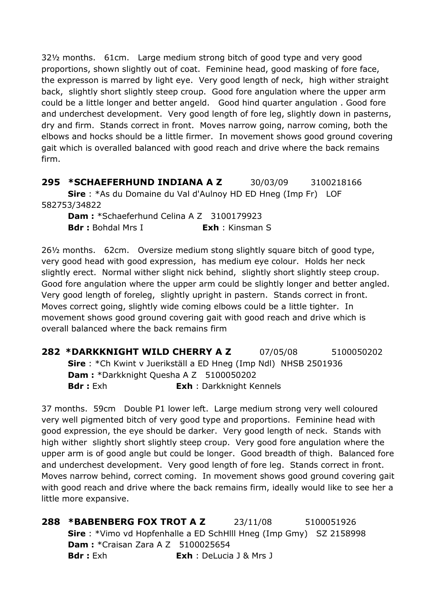32½ months. 61cm. Large medium strong bitch of good type and very good proportions, shown slightly out of coat. Feminine head, good masking of fore face, the expresson is marred by light eye. Very good length of neck, high wither straight back, slightly short slightly steep croup. Good fore angulation where the upper arm could be a little longer and better angeld. Good hind quarter angulation . Good fore and underchest development. Very good length of fore leg, slightly down in pasterns, dry and firm. Stands correct in front. Moves narrow going, narrow coming, both the elbows and hocks should be a little firmer. In movement shows good ground covering gait which is overalled balanced with good reach and drive where the back remains firm.

**295 \*SCHAEFERHUND INDIANA A Z** 30/03/09 3100218166 **Sire** : \*As du Domaine du Val d'Aulnoy HD ED Hneg (Imp Fr) LOF 582753/34822

**Dam :** \*Schaeferhund Celina A Z 3100179923 **Bdr :** Bohdal Mrs I **Exh** : Kinsman S

26½ months. 62cm. Oversize medium stong slightly square bitch of good type, very good head with good expression, has medium eye colour. Holds her neck slightly erect. Normal wither slight nick behind, slightly short slightly steep croup. Good fore angulation where the upper arm could be slightly longer and better angled. Very good length of foreleg, slightly upright in pastern. Stands correct in front. Moves correct going, slightly wide coming elbows could be a little tighter. In movement shows good ground covering gait with good reach and drive which is overall balanced where the back remains firm

**282 \*DARKKNIGHT WILD CHERRY A Z** 07/05/08 5100050202 **Sire** : \*Ch Kwint v Juerikställ a ED Hneg (Imp Ndl) NHSB 2501936 **Dam :** \*Darkknight Quesha A Z 5100050202 **Bdr :** Exh **Exh** : Darkknight Kennels

37 months. 59cm Double P1 lower left. Large medium strong very well coloured very well pigmented bitch of very good type and proportions. Feminine head with good expression, the eye should be darker. Very good length of neck. Stands with high wither slightly short slightly steep croup. Very good fore angulation where the upper arm is of good angle but could be longer. Good breadth of thigh. Balanced fore and underchest development. Very good length of fore leg. Stands correct in front. Moves narrow behind, correct coming. In movement shows good ground covering gait with good reach and drive where the back remains firm, ideally would like to see her a little more expansive.

**288 \*BABENBERG FOX TROT A Z** 23/11/08 5100051926 **Sire** : \*Vimo vd Hopfenhalle a ED SchHlll Hneg (Imp Gmy) SZ 2158998 **Dam: \***Craisan Zara A Z 5100025654 **Bdr :** Exh **Exh** : DeLucia J & Mrs J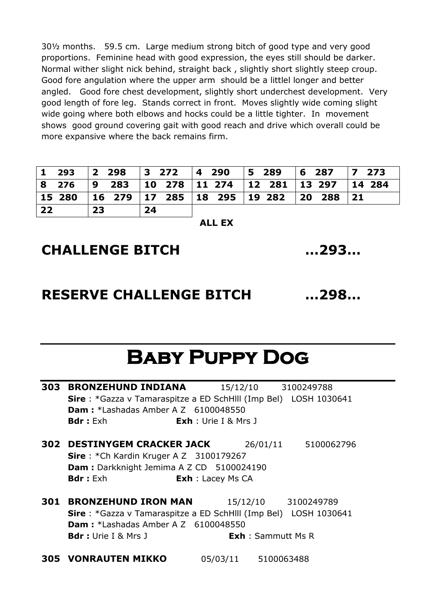30½ months. 59.5 cm. Large medium strong bitch of good type and very good proportions. Feminine head with good expression, the eyes still should be darker. Normal wither slight nick behind, straight back , slightly short slightly steep croup. Good fore angulation where the upper arm should be a littlel longer and better angled. Good fore chest development, slightly short underchest development. Very good length of fore leg. Stands correct in front. Moves slightly wide coming slight wide going where both elbows and hocks could be a little tighter. In movement shows good ground covering gait with good reach and drive which overall could be more expansive where the back remains firm.

|    | 8 276 9 283 10 278 11 274 12 281 13 297 14 284           |    |  |  |
|----|----------------------------------------------------------|----|--|--|
|    | 15 280   16 279   17 285   18 295   19 282   20 288   21 |    |  |  |
| 22 | 23                                                       | 24 |  |  |

**ALL EX**

#### **CHALLENGE BITCH …293…**

#### **RESERVE CHALLENGE BITCH …298…**

### **Baby Puppy Dog**

| 303 | <b>BRONZEHUND INDIANA</b>                                                     | 15/12/10 3100249788         |            |
|-----|-------------------------------------------------------------------------------|-----------------------------|------------|
|     | <b>Sire</b> : *Gazza v Tamaraspitze a ED SchHIII (Imp Bel) LOSH 1030641       |                             |            |
|     | <b>Dam:</b> *Lashadas Amber A Z 6100048550                                    |                             |            |
|     | <b>Bdr</b> : Exh                                                              | <b>Exh</b> : Urie I & Mrs J |            |
|     | 302 DESTINYGEM CRACKER JACK<br><b>Sire</b> : *Ch Kardin Kruger A Z 3100179267 | 26/01/11                    | 5100062796 |
|     | Dam : Darkknight Jemima A Z CD 5100024190                                     |                             |            |
|     | <b>Bdr:</b> Exh                                                               | <b>Exh</b> : Lacey Ms CA    |            |
| 301 | <b>BRONZEHUND IRON MAN</b>                                                    | 15/12/10                    | 3100249789 |
|     | <b>Sire</b> : *Gazza v Tamaraspitze a ED SchHIII (Imp Bel) LOSH 1030641       |                             |            |
|     | <b>Dam:</b> *Lashadas Amber A Z 6100048550                                    |                             |            |
|     | <b>Bdr</b> : Urie I & Mrs J                                                   | <b>Exh</b> : Sammutt Ms R   |            |
|     |                                                                               |                             |            |

**305 VONRAUTEN MIKKO** 05/03/11 5100063488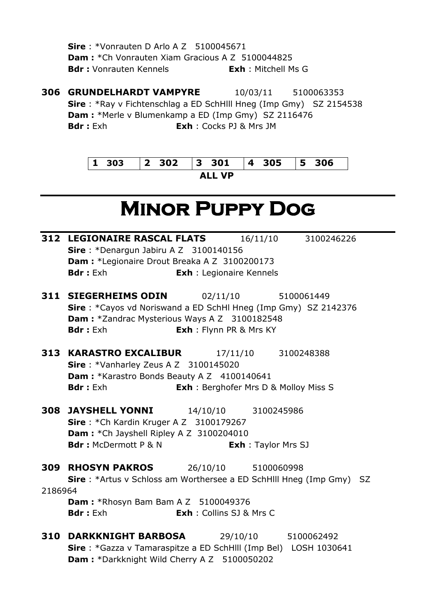**Sire** : \*Vonrauten D Arlo A Z 5100045671 **Dam :** \*Ch Vonrauten Xiam Gracious A Z 5100044825 **Bdr :** Vonrauten Kennels<br> **Exh** : Mitchell Ms G

**306 GRUNDELHARDT VAMPYRE** 10/03/11 5100063353 **Sire** : \*Ray v Fichtenschlag a ED SchHlll Hneg (Imp Gmy) SZ 2154538 **Dam :** \*Merle v Blumenkamp a ED (Imp Gmy) SZ 2116476 **Bdr :** Exh **Exh** : Cocks PJ & Mrs JM

|        | 303 2 302 3 301 4 305 5 306 |  |  |  |  |
|--------|-----------------------------|--|--|--|--|
| AII VP |                             |  |  |  |  |

## **Minor Puppy Dog**

|         | <b>312 LEGIONAIRE RASCAL FLATS</b> 16/11/10                                 |                                 |                            | 3100246226                                   |  |
|---------|-----------------------------------------------------------------------------|---------------------------------|----------------------------|----------------------------------------------|--|
|         | Sire: *Denargun Jabiru A Z 3100140156                                       |                                 |                            |                                              |  |
|         | Dam : *Legionaire Drout Breaka A Z 3100200173                               |                                 |                            |                                              |  |
|         | <b>Bdr:</b> Exh                                                             | <b>Exh</b> : Legionaire Kennels |                            |                                              |  |
|         | <b>311 SIEGERHEIMS ODIN</b> 02/11/10                                        |                                 |                            | 5100061449                                   |  |
|         | Sire: *Cayos vd Noriswand a ED SchHl Hneg (Imp Gmy) SZ 2142376              |                                 |                            |                                              |  |
|         | Dam: *Zandrac Mysterious Ways A Z 3100182548                                |                                 |                            |                                              |  |
|         | <b>Bdr</b> : Exh                                                            | <b>Exh</b> : Flynn PR & Mrs KY  |                            |                                              |  |
|         | <b>313 KARASTRO EXCALIBUR</b> 17/11/10 3100248388                           |                                 |                            |                                              |  |
|         | Sire: *Vanharley Zeus A Z 3100145020                                        |                                 |                            |                                              |  |
|         | Dam: *Karastro Bonds Beauty A Z 4100140641                                  |                                 |                            |                                              |  |
|         | <b>Bdr</b> : Exh                                                            |                                 |                            | <b>Exh</b> : Berghofer Mrs D & Molloy Miss S |  |
|         | <b>308 JAYSHELL YONNI</b>                                                   |                                 | 14/10/10 3100245986        |                                              |  |
|         | Sire: *Ch Kardin Kruger A Z 3100179267                                      |                                 |                            |                                              |  |
|         | Dam: * Ch Jayshell Ripley A Z 3100204010                                    |                                 |                            |                                              |  |
|         | <b>Bdr:</b> McDermott P & N                                                 |                                 | <b>Exh</b> : Taylor Mrs SJ |                                              |  |
|         | <b>309 RHOSYN PAKROS</b> 26/10/10 5100060998                                |                                 |                            |                                              |  |
|         | <b>Sire</b> : *Artus v Schloss am Worthersee a ED SchHill Hneg (Imp Gmy) SZ |                                 |                            |                                              |  |
| 2186964 |                                                                             |                                 |                            |                                              |  |
|         | <b>Dam: *Rhosyn Bam Bam A Z 5100049376</b>                                  |                                 |                            |                                              |  |
|         | <b>Bdr</b> : Exh                                                            | <b>Exh</b> : Collins SJ & Mrs C |                            |                                              |  |
|         | <b>310 DARKKNIGHT BARBOSA</b>                                               |                                 |                            | 29/10/10 5100062492                          |  |
|         | Sire: *Gazza v Tamaraspitze a ED SchHlll (Imp Bel) LOSH 1030641             |                                 |                            |                                              |  |
|         | Dam: *Darkknight Wild Cherry A Z 5100050202                                 |                                 |                            |                                              |  |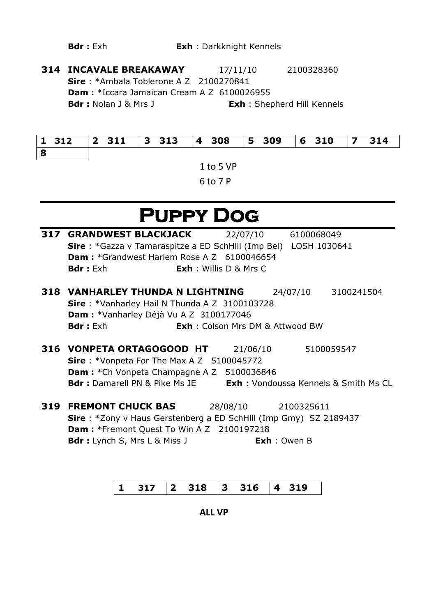**314 INCAVALE BREAKAWAY** 17/11/10 2100328360 **Sire** : \*Ambala Toblerone A Z 2100270841 **Dam :** \*Iccara Jamaican Cream A Z 6100026955 **Bdr :** Nolan J & Mrs J **Exh** : Shepherd Hill Kennels

| l 8 |  |  |  |
|-----|--|--|--|

1 to 5 VP 6 to 7 P

## **Puppy Dog**

| 317 | <b>GRANDWEST BLACKJACK</b>                                                       | 22/07/10 6100068049                    |                     |
|-----|----------------------------------------------------------------------------------|----------------------------------------|---------------------|
|     | Sire: *Gazza v Tamaraspitze a ED SchHlll (Imp Bel) LOSH 1030641                  |                                        |                     |
|     | <b>Dam:</b> *Grandwest Harlem Rose A Z 6100046654                                |                                        |                     |
|     | <b>Bdr</b> : Exh                                                                 | <b>Exh</b> : Willis D & Mrs C          |                     |
|     | <b>318 VANHARLEY THUNDA N LIGHTNING</b>                                          |                                        | 24/07/10 3100241504 |
|     | <b>Sire</b> : *Vanharley Hail N Thunda A Z 3100103728                            |                                        |                     |
|     | Dam : *Vanharley Déjà Vu A Z 3100177046                                          |                                        |                     |
|     | <b>Bdr</b> : Exh                                                                 | <b>Exh:</b> Colson Mrs DM & Attwood BW |                     |
|     |                                                                                  |                                        |                     |
|     | 316 VONPETA ORTAGOGOOD HT                                                        | 21/06/10                               | 5100059547          |
|     | <b>Sire</b> : *Vonpeta For The Max A Z $5100045772$                              |                                        |                     |
|     | <b>Dam:</b> *Ch Vonpeta Champagne A Z 5100036846                                 |                                        |                     |
|     | <b>Bdr:</b> Damarell PN & Pike Ms JE <b>Exh:</b> Vondoussa Kennels & Smith Ms CL |                                        |                     |
| 319 | <b>FREMONT CHUCK BAS</b>                                                         | 28/08/10 2100325611                    |                     |
|     | <b>Sire</b> : *Zony v Haus Gerstenberg a ED SchHIII (Imp Gmy) SZ 2189437         |                                        |                     |
|     | <b>Dam: *Fremont Quest To Win A Z 2100197218</b>                                 |                                        |                     |
|     | <b>Bdr</b> : Lynch S, Mrs L & Miss J                                             | <b>Exh</b> : Owen B                    |                     |
|     |                                                                                  |                                        |                     |

| $ 1 \t317 \t 2 \t318 \t3 \t316 \t4 \t319$ |  |  |  |  |  |  |  |  |  |
|-------------------------------------------|--|--|--|--|--|--|--|--|--|
|-------------------------------------------|--|--|--|--|--|--|--|--|--|

**ALL VP**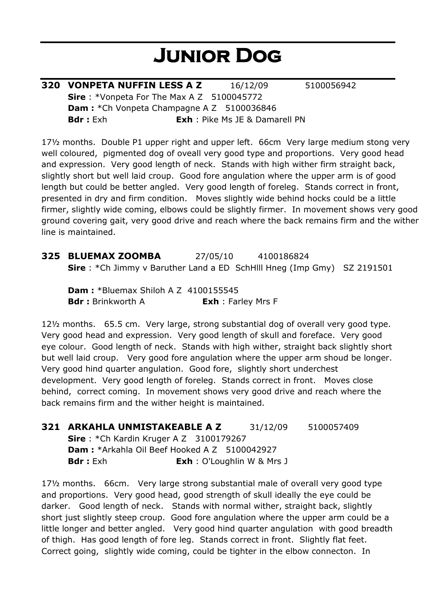# **Junior Dog**

| 320 VONPETA NUFFIN LESS A Z                       | 16/12/09                              | 5100056942 |
|---------------------------------------------------|---------------------------------------|------------|
| <b>Sire</b> : *Vonpeta For The Max A Z 5100045772 |                                       |            |
| <b>Dam:</b> *Ch Vonpeta Champagne A Z 5100036846  |                                       |            |
| <b>Bdr</b> : Exh                                  | <b>Exh</b> : Pike Ms JE & Damarell PN |            |

17½ months. Double P1 upper right and upper left. 66cm Very large medium stong very well coloured, pigmented dog of oveall very good type and proportions. Very good head and expression. Very good length of neck. Stands with high wither firm straight back, slightly short but well laid croup. Good fore angulation where the upper arm is of good length but could be better angled. Very good length of foreleg. Stands correct in front, presented in dry and firm condition. Moves slightly wide behind hocks could be a little firmer, slightly wide coming, elbows could be slightly firmer. In movement shows very good ground covering gait, very good drive and reach where the back remains firm and the wither line is maintained.

**325 BLUEMAX ZOOMBA** 27/05/10 4100186824 **Sire** : \*Ch Jimmy v Baruther Land a ED SchHlll Hneg (Imp Gmy) SZ 2191501

**Dam : \*Bluemax Shiloh A Z 4100155545 Bdr :** Brinkworth A **Exh** : Farley Mrs F

12½ months. 65.5 cm. Very large, strong substantial dog of overall very good type. Very good head and expression. Very good length of skull and foreface. Very good eye colour. Good length of neck. Stands with high wither, straight back slightly short but well laid croup. Very good fore angulation where the upper arm shoud be longer. Very good hind quarter angulation. Good fore, slightly short underchest development. Very good length of foreleg. Stands correct in front. Moves close behind, correct coming. In movement shows very good drive and reach where the back remains firm and the wither height is maintained.

**321 ARKAHLA UNMISTAKEABLE A Z** 31/12/09 5100057409

**Sire** : \*Ch Kardin Kruger A Z 3100179267 **Dam : \***Arkahla Oil Beef Hooked A Z 5100042927 **Bdr :** Exh **Exh** : O'Loughlin W & Mrs J

17½ months. 66cm. Very large strong substantial male of overall very good type and proportions. Very good head, good strength of skull ideally the eye could be darker. Good length of neck. Stands with normal wither, straight back, slightly short just slightly steep croup. Good fore angulation where the upper arm could be a little longer and better angled. Very good hind quarter angulation with good breadth of thigh. Has good length of fore leg. Stands correct in front. Slightly flat feet. Correct going, slightly wide coming, could be tighter in the elbow connecton. In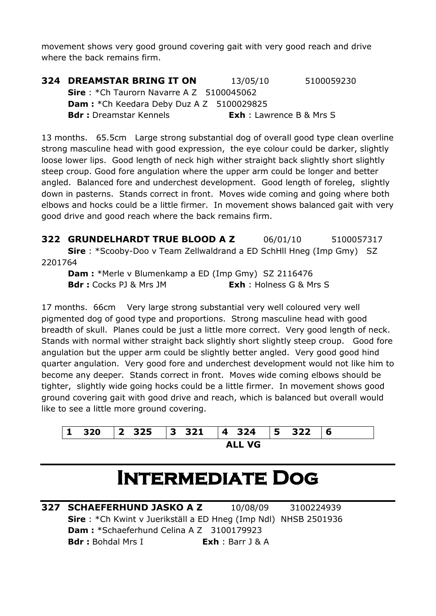movement shows very good ground covering gait with very good reach and drive where the back remains firm.

| <b>324 DREAMSTAR BRING IT ON</b>                 | 13/05/10                        | 5100059230 |
|--------------------------------------------------|---------------------------------|------------|
| <b>Sire</b> : *Ch Taurorn Navarre A Z 5100045062 |                                 |            |
| <b>Dam:</b> *Ch Keedara Deby Duz A Z 5100029825  |                                 |            |
| <b>Bdr</b> : Dreamstar Kennels                   | <b>Exh</b> : Lawrence B & Mrs S |            |

13 months. 65.5cm Large strong substantial dog of overall good type clean overline strong masculine head with good expression, the eye colour could be darker, slightly loose lower lips. Good length of neck high wither straight back slightly short slightly steep croup. Good fore angulation where the upper arm could be longer and better angled. Balanced fore and underchest development. Good length of foreleg, slightly down in pasterns. Stands correct in front. Moves wide coming and going where both elbows and hocks could be a little firmer. In movement shows balanced gait with very good drive and good reach where the back remains firm.

**322 GRUNDELHARDT TRUE BLOOD A Z** 06/01/10 5100057317 **Sire** : \*Scooby-Doo v Team Zellwaldrand a ED SchHll Hneg (Imp Gmy) SZ 2201764

**Dam :** \*Merle v Blumenkamp a ED (Imp Gmy) SZ 2116476 **Bdr :** Cocks PJ & Mrs JM **Exh** : Holness G & Mrs S

17 months. 66cm Very large strong substantial very well coloured very well pigmented dog of good type and proportions. Strong masculine head with good breadth of skull. Planes could be just a little more correct. Very good length of neck. Stands with normal wither straight back slightly short slightly steep croup. Good fore angulation but the upper arm could be slightly better angled. Very good good hind quarter angulation. Very good fore and underchest development would not like him to become any deeper. Stands correct in front. Moves wide coming elbows should be tighter, slightly wide going hocks could be a little firmer. In movement shows good ground covering gait with good drive and reach, which is balanced but overall would like to see a little more ground covering.



### **Intermediate Dog**

**327 SCHAEFERHUND JASKO A Z** 10/08/09 3100224939 **Sire** : \*Ch Kwint v Juerikställ a ED Hneg (Imp Ndl) NHSB 2501936 **Dam :** \*Schaeferhund Celina A Z 3100179923 **Bdr :** Bohdal Mrs I **Exh** : Barr J & A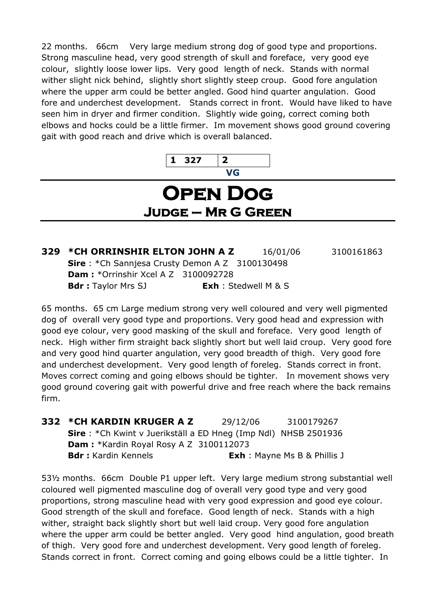22 months. 66cm Very large medium strong dog of good type and proportions. Strong masculine head, very good strength of skull and foreface, very good eye colour, slightly loose lower lips. Very good length of neck. Stands with normal wither slight nick behind, slightly short slightly steep croup. Good fore angulation where the upper arm could be better angled. Good hind quarter angulation. Good fore and underchest development. Stands correct in front. Would have liked to have seen him in dryer and firmer condition. Slightly wide going, correct coming both elbows and hocks could be a little firmer. Im movement shows good ground covering gait with good reach and drive which is overall balanced.



#### **Open Dog Judge – Mr G Green**

**329 \*CH ORRINSHIR ELTON JOHN A Z** 16/01/06 3100161863 **Sire** : \*Ch Sannjesa Crusty Demon A Z 3100130498 **Dam :** \*Orrinshir Xcel A Z 3100092728 **Bdr :** Taylor Mrs SJ **Exh** : Stedwell M & S

65 months. 65 cm Large medium strong very well coloured and very well pigmented dog of overall very good type and proportions. Very good head and expression with good eye colour, very good masking of the skull and foreface. Very good length of neck. High wither firm straight back slightly short but well laid croup. Very good fore and very good hind quarter angulation, very good breadth of thigh. Very good fore and underchest development. Very good length of foreleg. Stands correct in front. Moves correct coming and going elbows should be tighter. In movement shows very good ground covering gait with powerful drive and free reach where the back remains firm.

**332 \*CH KARDIN KRUGER A Z** 29/12/06 3100179267 **Sire** : \*Ch Kwint v Juerikställ a ED Hneg (Imp Ndl) NHSB 2501936 **Dam :** \*Kardin Royal Rosy A Z 3100112073 **Bdr :** Kardin Kennels **Exh** : Mayne Ms B & Phillis J

53½ months. 66cm Double P1 upper left. Very large medium strong substantial well coloured well pigmented masculine dog of overall very good type and very good proportions, strong masculine head with very good expression and good eye colour. Good strength of the skull and foreface. Good length of neck. Stands with a high wither, straight back slightly short but well laid croup. Very good fore angulation where the upper arm could be better angled. Very good hind angulation, good breath of thigh. Very good fore and underchest development. Very good length of foreleg. Stands correct in front. Correct coming and going elbows could be a little tighter. In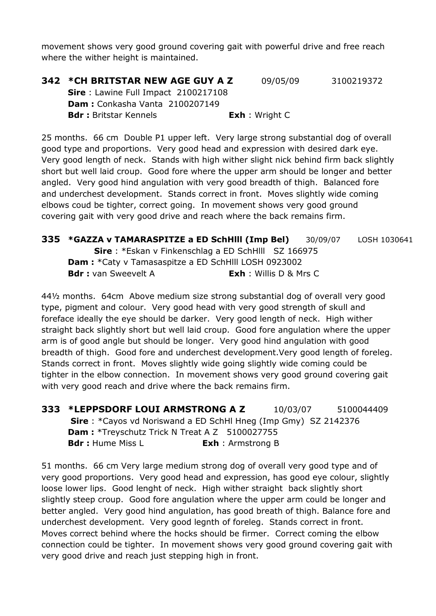movement shows very good ground covering gait with powerful drive and free reach where the wither height is maintained.

#### **342 \*CH BRITSTAR NEW AGE GUY A Z** 09/05/09 3100219372 **Sire** : Lawine Full Impact 2100217108 **Dam :** Conkasha Vanta 2100207149 **Bdr :** Britstar Kennels **Exh** : Wright C

25 months. 66 cm Double P1 upper left. Very large strong substantial dog of overall good type and proportions. Very good head and expression with desired dark eye. Very good length of neck. Stands with high wither slight nick behind firm back slightly short but well laid croup. Good fore where the upper arm should be longer and better angled. Very good hind angulation with very good breadth of thigh. Balanced fore and underchest development. Stands correct in front. Moves slightly wide coming elbows coud be tighter, correct going. In movement shows very good ground covering gait with very good drive and reach where the back remains firm.

| 335 *GAZZA v TAMARASPITZE a ED SchHill (Imp Bel)           |                               | 30/09/07 | LOSH 1030641 |
|------------------------------------------------------------|-------------------------------|----------|--------------|
| <b>Sire</b> : *Eskan v Finkenschlag a ED SchHIII SZ 166975 |                               |          |              |
| <b>Dam:</b> *Caty v Tamasaspitze a ED SchHill LOSH 0923002 |                               |          |              |
| <b>Bdr</b> : van Sweevelt A                                | <b>Exh</b> : Willis D & Mrs C |          |              |

44½ months. 64cm Above medium size strong substantial dog of overall very good type, pigment and colour. Very good head with very good strength of skull and foreface ideally the eye should be darker. Very good length of neck. High wither straight back slightly short but well laid croup. Good fore angulation where the upper arm is of good angle but should be longer. Very good hind angulation with good breadth of thigh. Good fore and underchest development.Very good length of foreleg. Stands correct in front. Moves slightly wide going slightly wide coming could be tighter in the elbow connection. In movement shows very good ground covering gait with very good reach and drive where the back remains firm.

**333 \*LEPPSDORF LOUI ARMSTRONG A Z** 10/03/07 5100044409 **Sire** : \*Cayos vd Noriswand a ED SchHl Hneg (Imp Gmy) SZ 2142376 **Dam :** \*Treyschutz Trick N Treat A Z 5100027755 **Bdr :** Hume Miss L **Exh** : Armstrong B

51 months. 66 cm Very large medium strong dog of overall very good type and of very good proportions. Very good head and expression, has good eye colour, slightly loose lower lips. Good lenght of neck. High wither straight back slightly short slightly steep croup. Good fore angulation where the upper arm could be longer and better angled. Very good hind angulation, has good breath of thigh. Balance fore and underchest development. Very good legnth of foreleg. Stands correct in front. Moves correct behind where the hocks should be firmer. Correct coming the elbow connection could be tighter. In movement shows very good ground covering gait with very good drive and reach just stepping high in front.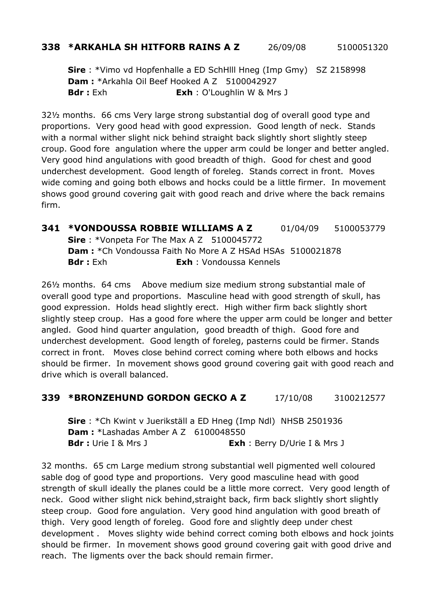#### **338 \*ARKAHLA SH HITFORB RAINS A Z** 26/09/08 5100051320

**Sire** : \*Vimo vd Hopfenhalle a ED SchHlll Hneg (Imp Gmy) SZ 2158998 **Dam :** \*Arkahla Oil Beef Hooked A Z 5100042927 **Bdr :** Exh **Exh** : O'Loughlin W & Mrs J

32½ months. 66 cms Very large strong substantial dog of overall good type and proportions. Very good head with good expression. Good length of neck. Stands with a normal wither slight nick behind straight back slightly short slightly steep croup. Good fore angulation where the upper arm could be longer and better angled. Very good hind angulations with good breadth of thigh. Good for chest and good underchest development. Good length of foreleg. Stands correct in front. Moves wide coming and going both elbows and hocks could be a little firmer. In movement shows good ground covering gait with good reach and drive where the back remains firm.

**341 \*VONDOUSSA ROBBIE WILLIAMS A Z** 01/04/09 5100053779 **Sire** : \*Vonpeta For The Max A Z 5100045772 **Dam :** \*Ch Vondoussa Faith No More A Z HSAd HSAs 5100021878 **Bdr :** Exh **Exh** : Vondoussa Kennels

26½ months. 64 cms Above medium size medium strong substantial male of overall good type and proportions. Masculine head with good strength of skull, has good expression. Holds head slightly erect. High wither firm back slightly short slightly steep croup. Has a good fore where the upper arm could be longer and better angled. Good hind quarter angulation, good breadth of thigh. Good fore and underchest development. Good length of foreleg, pasterns could be firmer. Stands correct in front. Moves close behind correct coming where both elbows and hocks should be firmer. In movement shows good ground covering gait with good reach and drive which is overall balanced.

#### **339 \*BRONZEHUND GORDON GECKO A Z** 17/10/08 3100212577

**Sire** : \*Ch Kwint v Juerikställ a ED Hneg (Imp Ndl) NHSB 2501936 **Dam : \***Lashadas Amber A Z 6100048550 **Bdr :** Urie I & Mrs J **Exh** : Berry D/Urie I & Mrs J

32 months. 65 cm Large medium strong substantial well pigmented well coloured sable dog of good type and proportions. Very good masculine head with good strength of skull ideally the planes could be a little more correct. Very good length of neck. Good wither slight nick behind,straight back, firm back slightly short slightly steep croup. Good fore angulation. Very good hind angulation with good breath of thigh. Very good length of foreleg. Good fore and slightly deep under chest development . Moves slighty wide behind correct coming both elbows and hock joints should be firmer. In movement shows good ground covering gait with good drive and reach. The ligments over the back should remain firmer.